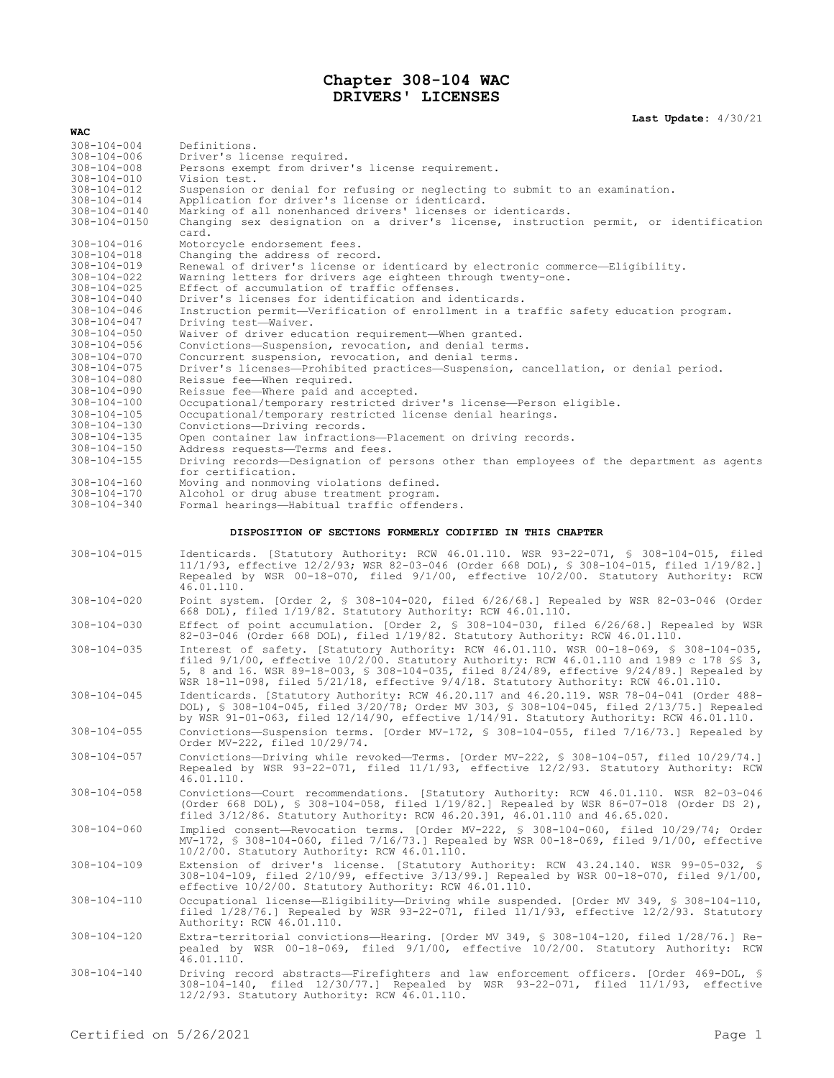## **Chapter 308-104 WAC DRIVERS' LICENSES**

**Last Update:** 4/30/21

| WAC                                                                                                                                                                                                      |                                                                                                                                                                                                                                                                                                                                                                                                                                                                                                                                                                    |
|----------------------------------------------------------------------------------------------------------------------------------------------------------------------------------------------------------|--------------------------------------------------------------------------------------------------------------------------------------------------------------------------------------------------------------------------------------------------------------------------------------------------------------------------------------------------------------------------------------------------------------------------------------------------------------------------------------------------------------------------------------------------------------------|
| $308 - 104 - 004$<br>$308 - 104 - 006$<br>$308 - 104 - 008$<br>308-104-010                                                                                                                               | Definitions.<br>Driver's license required.<br>Persons exempt from driver's license requirement.<br>Vision test.                                                                                                                                                                                                                                                                                                                                                                                                                                                    |
| 308-104-012<br>$308 - 104 - 014$<br>308-104-0140<br>308-104-0150                                                                                                                                         | Suspension or denial for refusing or neglecting to submit to an examination.<br>Application for driver's license or identicard.<br>Marking of all nonenhanced drivers' licenses or identicards.<br>Changing sex designation on a driver's license, instruction permit, or identification                                                                                                                                                                                                                                                                           |
| $308 - 104 - 016$<br>$308 - 104 - 018$<br>$308 - 104 - 019$<br>$308 - 104 - 022$<br>$308 - 104 - 025$<br>$308 - 104 - 040$<br>308-104-046<br>$308 - 104 - 047$<br>$308 - 104 - 050$<br>$308 - 104 - 056$ | card.<br>Motorcycle endorsement fees.<br>Changing the address of record.<br>Renewal of driver's license or identicard by electronic commerce-Eligibility.<br>Warning letters for drivers age eighteen through twenty-one.<br>Effect of accumulation of traffic offenses.<br>Driver's licenses for identification and identicards.<br>Instruction permit—Verification of enrollment in a traffic safety education program.<br>Driving test-Waiver.<br>Waiver of driver education requirement-When granted.<br>Convictions-Suspension, revocation, and denial terms. |
| $308 - 104 - 070$<br>$308 - 104 - 075$<br>$308 - 104 - 080$<br>$308 - 104 - 090$                                                                                                                         | Concurrent suspension, revocation, and denial terms.<br>Driver's licenses—Prohibited practices—Suspension, cancellation, or denial period.<br>Reissue fee-When required.<br>Reissue fee-Where paid and accepted.                                                                                                                                                                                                                                                                                                                                                   |
| $308 - 104 - 100$<br>$308 - 104 - 105$<br>$308 - 104 - 130$<br>$308 - 104 - 135$                                                                                                                         | Occupational/temporary restricted driver's license-Person eligible.<br>Occupational/temporary restricted license denial hearings.<br>Convictions-Driving records.<br>Open container law infractions-Placement on driving records.                                                                                                                                                                                                                                                                                                                                  |
| $308 - 104 - 150$<br>$308 - 104 - 155$                                                                                                                                                                   | Address requests-Terms and fees.<br>Driving records—Designation of persons other than employees of the department as agents<br>for certification.                                                                                                                                                                                                                                                                                                                                                                                                                  |
| $308 - 104 - 160$<br>$308 - 104 - 170$<br>$308 - 104 - 340$                                                                                                                                              | Moving and nonmoving violations defined.<br>Alcohol or drug abuse treatment program.<br>Formal hearings-Habitual traffic offenders.                                                                                                                                                                                                                                                                                                                                                                                                                                |
| DISPOSITION OF SECTIONS FORMERLY CODIFIED IN THIS CHAPTER                                                                                                                                                |                                                                                                                                                                                                                                                                                                                                                                                                                                                                                                                                                                    |
| $308 - 104 - 015$                                                                                                                                                                                        | Identicards. [Statutory Authority: RCW 46.01.110. WSR 93-22-071, § 308-104-015, filed<br>11/1/93, effective 12/2/93; WSR 82-03-046 (Order 668 DOL), § 308-104-015, filed 1/19/82.]<br>Repealed by WSR 00-18-070, filed 9/1/00, effective 10/2/00. Statutory Authority: RCW<br>46.01.110.                                                                                                                                                                                                                                                                           |
| $308 - 104 - 020$                                                                                                                                                                                        | Point system. [Order 2, § 308-104-020, filed $6/26/68$ .] Repealed by WSR 82-03-046 (Order<br>668 DOL), filed 1/19/82. Statutory Authority: RCW 46.01.110.                                                                                                                                                                                                                                                                                                                                                                                                         |
| $308 - 104 - 030$                                                                                                                                                                                        | Effect of point accumulation. [Order 2, § 308-104-030, filed 6/26/68.] Repealed by WSR<br>82-03-046 (Order 668 DOL), filed 1/19/82. Statutory Authority: RCW 46.01.110.                                                                                                                                                                                                                                                                                                                                                                                            |
| $308 - 104 - 035$                                                                                                                                                                                        | Interest of safety. [Statutory Authority: RCW 46.01.110. WSR 00-18-069, § 308-104-035,<br>filed $9/1/00$ , effective $10/2/00$ . Statutory Authority: RCW 46.01.110 and 1989 c 178 \$\$ 3,<br>5, 8 and 16. WSR 89-18-003, § 308-104-035, filed 8/24/89, effective 9/24/89.] Repealed by<br>WSR $18-11-098$ , filed $5/21/18$ , effective $9/4/18$ . Statutory Authority: RCW 46.01.110.                                                                                                                                                                            |
| $308 - 104 - 045$                                                                                                                                                                                        | Identicards. [Statutory Authority: RCW 46.20.117 and 46.20.119. WSR 78-04-041 (Order 488-<br>DOL), § 308-104-045, filed 3/20/78; Order MV 303, § 308-104-045, filed 2/13/75.] Repealed<br>by WSR 91-01-063, filed 12/14/90, effective 1/14/91. Statutory Authority: RCW 46.01.110.                                                                                                                                                                                                                                                                                 |
| $308 - 104 - 055$                                                                                                                                                                                        | Convictions-Suspension terms. [Order MV-172, § 308-104-055, filed 7/16/73.] Repealed by<br>Order MV-222, filed 10/29/74.                                                                                                                                                                                                                                                                                                                                                                                                                                           |
| $308 - 104 - 057$                                                                                                                                                                                        | Convictions-Driving while revoked-Terms. [Order MV-222, § 308-104-057, filed 10/29/74.]<br>Repealed by WSR 93-22-071, filed 11/1/93, effective 12/2/93. Statutory Authority: RCW<br>46.01.110.                                                                                                                                                                                                                                                                                                                                                                     |
| $308 - 104 - 058$                                                                                                                                                                                        | Convictions-Court recommendations. [Statutory Authority: RCW 46.01.110. WSR 82-03-046<br>(Order 668 DOL), § 308-104-058, filed 1/19/82.] Repealed by WSR 86-07-018 (Order DS 2),<br>filed 3/12/86. Statutory Authority: RCW 46.20.391, 46.01.110 and 46.65.020.                                                                                                                                                                                                                                                                                                    |
| $308 - 104 - 060$                                                                                                                                                                                        | Implied consent-Revocation terms. [Order MV-222, § 308-104-060, filed 10/29/74; Order<br>MV-172, § 308-104-060, filed 7/16/73.] Repealed by WSR 00-18-069, filed 9/1/00, effective<br>10/2/00. Statutory Authority: RCW 46.01.110.                                                                                                                                                                                                                                                                                                                                 |
| $308 - 104 - 109$                                                                                                                                                                                        | Extension of driver's license. [Statutory Authority: RCW 43.24.140. WSR 99-05-032, \$<br>$308-104-109$ , filed $2/10/99$ , effective $3/13/99$ . Repealed by WSR 00-18-070, filed $9/1/00$ ,<br>effective 10/2/00. Statutory Authority: RCW 46.01.110.                                                                                                                                                                                                                                                                                                             |
| 308-104-110                                                                                                                                                                                              | Occupational license—Eligibility—Driving while suspended. [Order MV 349, § 308-104-110,<br>filed $1/28/76$ .] Repealed by WSR 93-22-071, filed $11/1/93$ , effective $12/2/93$ . Statutory<br>Authority: RCW 46.01.110.                                                                                                                                                                                                                                                                                                                                            |
| 308-104-120                                                                                                                                                                                              | Extra-territorial convictions-Hearing. [Order MV 349, § 308-104-120, filed 1/28/76.] Re-<br>pealed by WSR 00-18-069, filed 9/1/00, effective 10/2/00. Statutory Authority: RCW<br>46.01.110.                                                                                                                                                                                                                                                                                                                                                                       |
| $308 - 104 - 140$                                                                                                                                                                                        | Driving record abstracts-Firefighters and law enforcement officers. [Order 469-DOL, §<br>308-104-140, filed 12/30/77.] Repealed by WSR 93-22-071, filed 11/1/93, effective<br>12/2/93. Statutory Authority: RCW 46.01.110.                                                                                                                                                                                                                                                                                                                                         |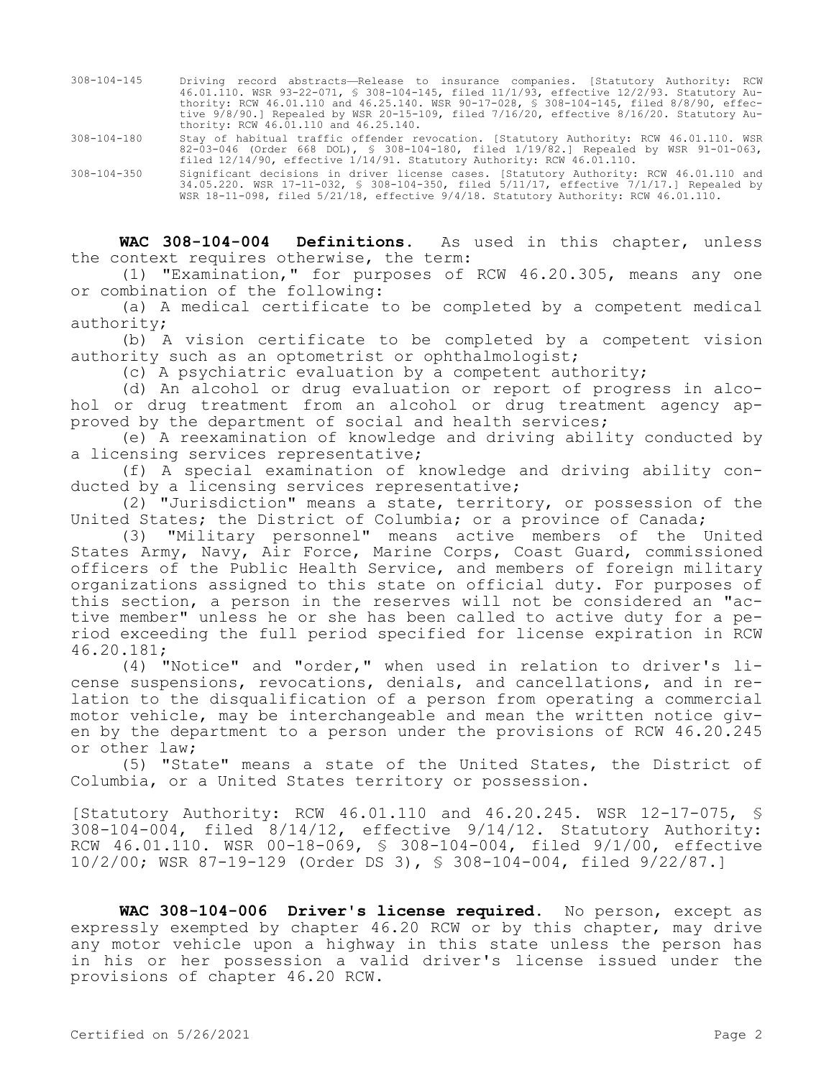- 308-104-145 Driving record abstracts—Release to insurance companies. [Statutory Authority: RCW 46.01.110. WSR 93-22-071, § 308-104-145, filed 11/1/93, effective 12/2/93. Statutory Authority: RCW 46.01.110 and 46.25.140. WSR 90-17-028, § 308-104-145, filed 8/8/90, effective 9/8/90.] Repealed by WSR 20-15-109, filed 7/16/20, effective 8/16/20. Statutory Authority: RCW 46.01.110 and 46.25.140.
- 308-104-180 Stay of habitual traffic offender revocation. [Statutory Authority: RCW 46.01.110. WSR 82-03-046 (Order 668 DOL), § 308-104-180, filed 1/19/82.] Repealed by WSR 91-01-063, filed 12/14/90, effective 1/14/91. Statutory Authority: RCW 46.01.110.
- 308-104-350 Significant decisions in driver license cases. [Statutory Authority: RCW 46.01.110 and 34.05.220. WSR 17-11-032, § 308-104-350, filed 5/11/17, effective 7/1/17.] Repealed by WSR 18-11-098, filed 5/21/18, effective 9/4/18. Statutory Authority: RCW 46.01.110.

**WAC 308-104-004 Definitions.** As used in this chapter, unless the context requires otherwise, the term:

(1) "Examination," for purposes of RCW 46.20.305, means any one or combination of the following:

(a) A medical certificate to be completed by a competent medical authority;

(b) A vision certificate to be completed by a competent vision authority such as an optometrist or ophthalmologist;

(c) A psychiatric evaluation by a competent authority;

(d) An alcohol or drug evaluation or report of progress in alcohol or drug treatment from an alcohol or drug treatment agency approved by the department of social and health services;

(e) A reexamination of knowledge and driving ability conducted by a licensing services representative;

(f) A special examination of knowledge and driving ability conducted by a licensing services representative;

(2) "Jurisdiction" means a state, territory, or possession of the United States; the District of Columbia; or a province of Canada;

(3) "Military personnel" means active members of the United States Army, Navy, Air Force, Marine Corps, Coast Guard, commissioned officers of the Public Health Service, and members of foreign military organizations assigned to this state on official duty. For purposes of this section, a person in the reserves will not be considered an "active member" unless he or she has been called to active duty for a period exceeding the full period specified for license expiration in RCW 46.20.181;

(4) "Notice" and "order," when used in relation to driver's license suspensions, revocations, denials, and cancellations, and in relation to the disqualification of a person from operating a commercial motor vehicle, may be interchangeable and mean the written notice given by the department to a person under the provisions of RCW 46.20.245 or other law;

(5) "State" means a state of the United States, the District of Columbia, or a United States territory or possession.

[Statutory Authority: RCW 46.01.110 and 46.20.245. WSR 12-17-075, § 308-104-004, filed 8/14/12, effective 9/14/12. Statutory Authority: RCW 46.01.110. WSR 00-18-069, § 308-104-004, filed 9/1/00, effective 10/2/00; WSR 87-19-129 (Order DS 3), § 308-104-004, filed 9/22/87.]

**WAC 308-104-006 Driver's license required.** No person, except as expressly exempted by chapter 46.20 RCW or by this chapter, may drive any motor vehicle upon a highway in this state unless the person has in his or her possession a valid driver's license issued under the provisions of chapter 46.20 RCW.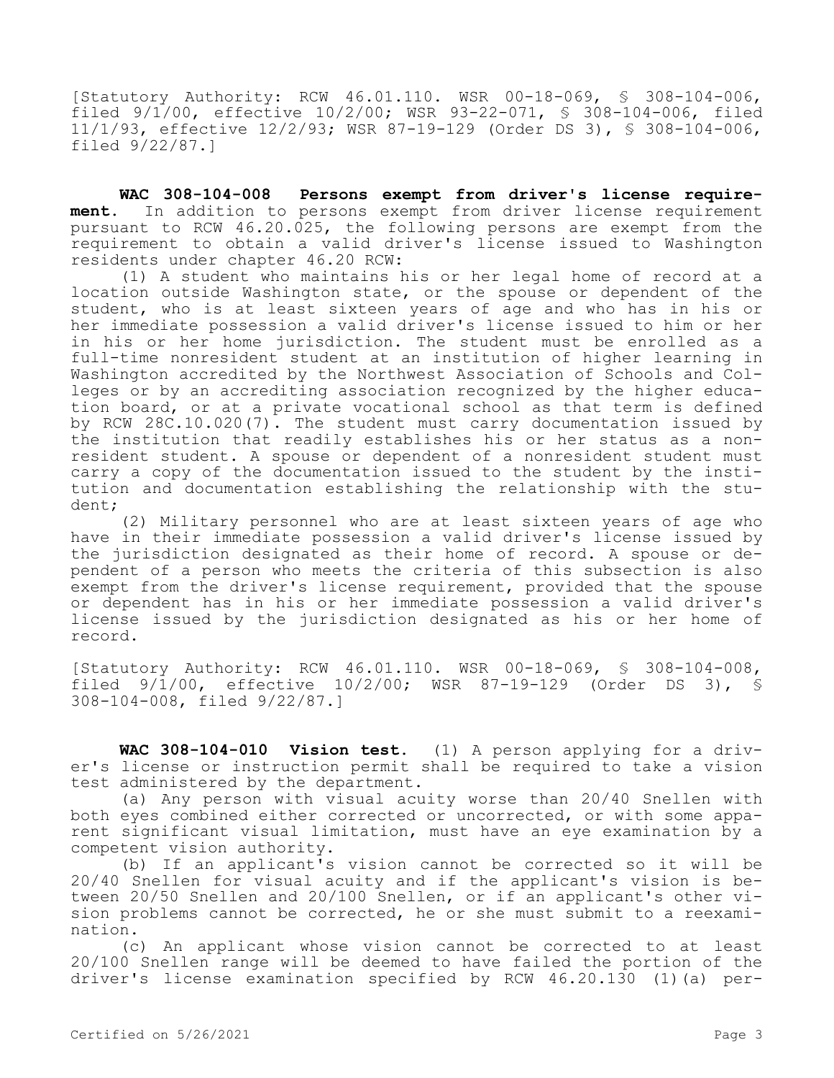[Statutory Authority: RCW 46.01.110. WSR 00-18-069, § 308-104-006, filed 9/1/00, effective 10/2/00; WSR 93-22-071, § 308-104-006, filed 11/1/93, effective 12/2/93; WSR 87-19-129 (Order DS 3), § 308-104-006, filed 9/22/87.]

**WAC 308-104-008 Persons exempt from driver's license requirement.** In addition to persons exempt from driver license requirement pursuant to RCW 46.20.025, the following persons are exempt from the requirement to obtain a valid driver's license issued to Washington residents under chapter 46.20 RCW:

(1) A student who maintains his or her legal home of record at a location outside Washington state, or the spouse or dependent of the student, who is at least sixteen years of age and who has in his or her immediate possession a valid driver's license issued to him or her in his or her home jurisdiction. The student must be enrolled as a full-time nonresident student at an institution of higher learning in Washington accredited by the Northwest Association of Schools and Colleges or by an accrediting association recognized by the higher education board, or at a private vocational school as that term is defined by RCW 28C.10.020(7). The student must carry documentation issued by the institution that readily establishes his or her status as a nonresident student. A spouse or dependent of a nonresident student must carry a copy of the documentation issued to the student by the institution and documentation establishing the relationship with the student;

(2) Military personnel who are at least sixteen years of age who have in their immediate possession a valid driver's license issued by the jurisdiction designated as their home of record. A spouse or dependent of a person who meets the criteria of this subsection is also exempt from the driver's license requirement, provided that the spouse or dependent has in his or her immediate possession a valid driver's license issued by the jurisdiction designated as his or her home of record.

[Statutory Authority: RCW 46.01.110. WSR 00-18-069, § 308-104-008, filed  $9/\overline{1}/00$ , effective  $10/2/00$ ; WSR  $87-19-129$  (Order DS 3), § 308-104-008, filed 9/22/87.]

**WAC 308-104-010 Vision test.** (1) A person applying for a driver's license or instruction permit shall be required to take a vision test administered by the department.

(a) Any person with visual acuity worse than 20/40 Snellen with both eyes combined either corrected or uncorrected, or with some apparent significant visual limitation, must have an eye examination by a competent vision authority.

(b) If an applicant's vision cannot be corrected so it will be 20/40 Snellen for visual acuity and if the applicant's vision is between 20/50 Snellen and 20/100 Snellen, or if an applicant's other vision problems cannot be corrected, he or she must submit to a reexamination.

(c) An applicant whose vision cannot be corrected to at least 20/100 Snellen range will be deemed to have failed the portion of the driver's license examination specified by RCW 46.20.130 (1)(a) per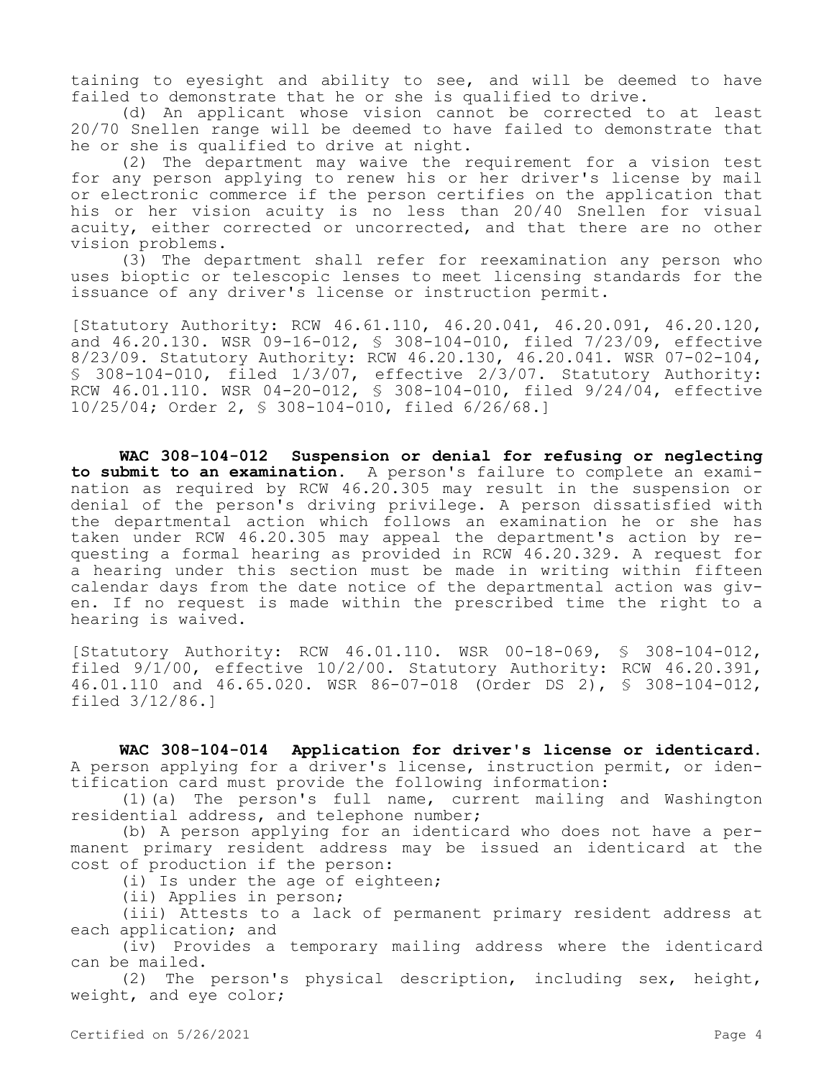taining to eyesight and ability to see, and will be deemed to have failed to demonstrate that he or she is qualified to drive.

(d) An applicant whose vision cannot be corrected to at least 20/70 Snellen range will be deemed to have failed to demonstrate that he or she is qualified to drive at night.

(2) The department may waive the requirement for a vision test for any person applying to renew his or her driver's license by mail or electronic commerce if the person certifies on the application that his or her vision acuity is no less than 20/40 Snellen for visual acuity, either corrected or uncorrected, and that there are no other vision problems.

(3) The department shall refer for reexamination any person who uses bioptic or telescopic lenses to meet licensing standards for the issuance of any driver's license or instruction permit.

[Statutory Authority: RCW 46.61.110, 46.20.041, 46.20.091, 46.20.120, and 46.20.130. WSR 09-16-012, § 308-104-010, filed 7/23/09, effective 8/23/09. Statutory Authority: RCW 46.20.130, 46.20.041. WSR 07-02-104, § 308-104-010, filed 1/3/07, effective 2/3/07. Statutory Authority: RCW 46.01.110. WSR 04-20-012, § 308-104-010, filed 9/24/04, effective 10/25/04; Order 2, § 308-104-010, filed 6/26/68.]

**WAC 308-104-012 Suspension or denial for refusing or neglecting to submit to an examination.** A person's failure to complete an examination as required by RCW 46.20.305 may result in the suspension or denial of the person's driving privilege. A person dissatisfied with the departmental action which follows an examination he or she has taken under RCW 46.20.305 may appeal the department's action by requesting a formal hearing as provided in RCW 46.20.329. A request for a hearing under this section must be made in writing within fifteen calendar days from the date notice of the departmental action was given. If no request is made within the prescribed time the right to a hearing is waived.

[Statutory Authority: RCW 46.01.110. WSR 00-18-069, § 308-104-012, filed 9/1/00, effective 10/2/00. Statutory Authority: RCW 46.20.391, 46.01.110 and 46.65.020. WSR 86-07-018 (Order DS 2), § 308-104-012, filed 3/12/86.]

**WAC 308-104-014 Application for driver's license or identicard.**  A person applying for a driver's license, instruction permit, or identification card must provide the following information:

(1)(a) The person's full name, current mailing and Washington residential address, and telephone number;

(b) A person applying for an identicard who does not have a permanent primary resident address may be issued an identicard at the cost of production if the person:

(i) Is under the age of eighteen;

(ii) Applies in person;

(iii) Attests to a lack of permanent primary resident address at each application; and

(iv) Provides a temporary mailing address where the identicard can be mailed.

(2) The person's physical description, including sex, height, weight, and eye color;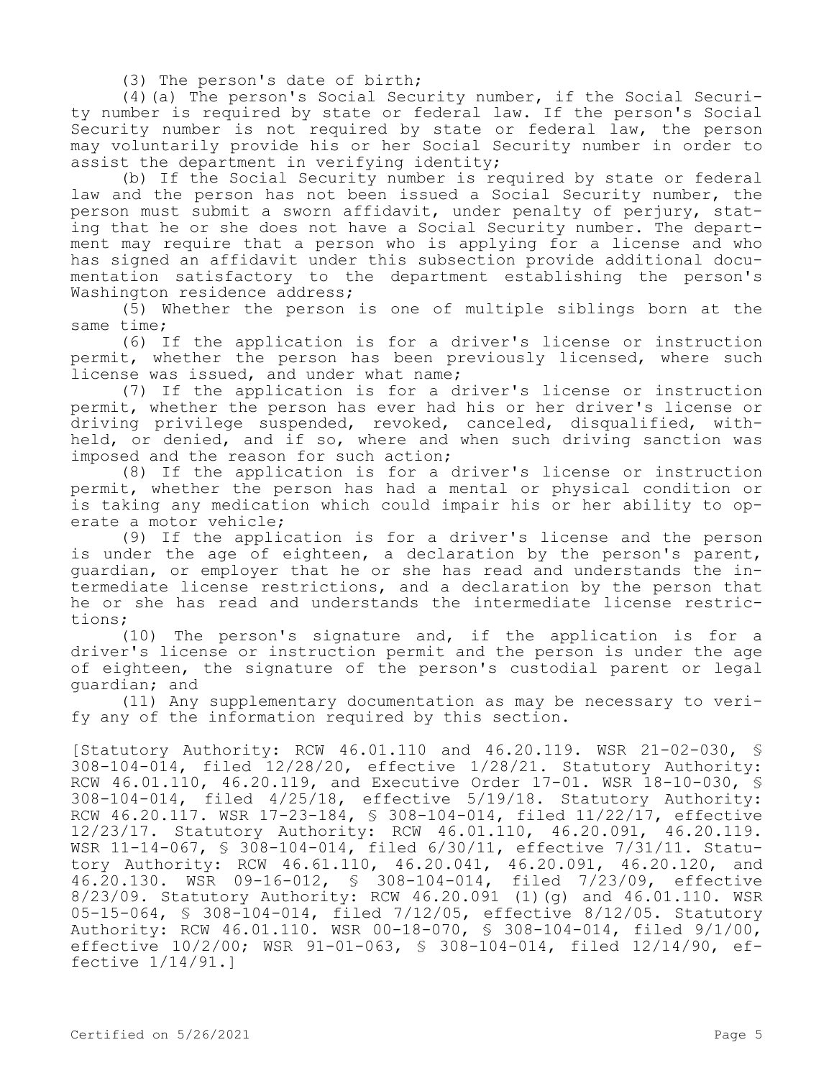(3) The person's date of birth;

(4)(a) The person's Social Security number, if the Social Security number is required by state or federal law. If the person's Social Security number is not required by state or federal law, the person may voluntarily provide his or her Social Security number in order to assist the department in verifying identity;

(b) If the Social Security number is required by state or federal law and the person has not been issued a Social Security number, the person must submit a sworn affidavit, under penalty of perjury, stating that he or she does not have a Social Security number. The department may require that a person who is applying for a license and who has signed an affidavit under this subsection provide additional documentation satisfactory to the department establishing the person's Washington residence address;

(5) Whether the person is one of multiple siblings born at the same time;

(6) If the application is for a driver's license or instruction permit, whether the person has been previously licensed, where such license was issued, and under what name;

(7) If the application is for a driver's license or instruction permit, whether the person has ever had his or her driver's license or driving privilege suspended, revoked, canceled, disqualified, withheld, or denied, and if so, where and when such driving sanction was imposed and the reason for such action;

(8) If the application is for a driver's license or instruction permit, whether the person has had a mental or physical condition or is taking any medication which could impair his or her ability to operate a motor vehicle;

(9) If the application is for a driver's license and the person is under the age of eighteen, a declaration by the person's parent, guardian, or employer that he or she has read and understands the intermediate license restrictions, and a declaration by the person that he or she has read and understands the intermediate license restrictions;

(10) The person's signature and, if the application is for a driver's license or instruction permit and the person is under the age of eighteen, the signature of the person's custodial parent or legal guardian; and

(11) Any supplementary documentation as may be necessary to verify any of the information required by this section.

[Statutory Authority: RCW 46.01.110 and 46.20.119. WSR 21-02-030, § 308-104-014, filed 12/28/20, effective 1/28/21. Statutory Authority: RCW 46.01.110, 46.20.119, and Executive Order 17-01. WSR 18-10-030, § 308-104-014, filed 4/25/18, effective 5/19/18. Statutory Authority: RCW 46.20.117. WSR 17-23-184, § 308-104-014, filed 11/22/17, effective 12/23/17. Statutory Authority: RCW 46.01.110, 46.20.091, 46.20.119. WSR 11-14-067, § 308-104-014, filed 6/30/11, effective 7/31/11. Statutory Authority: RCW 46.61.110, 46.20.041, 46.20.091, 46.20.120, and 46.20.130. WSR 09-16-012, § 308-104-014, filed 7/23/09, effective 8/23/09. Statutory Authority: RCW 46.20.091 (1)(g) and 46.01.110. WSR 05-15-064, § 308-104-014, filed 7/12/05, effective 8/12/05. Statutory Authority: RCW 46.01.110. WSR 00-18-070, § 308-104-014, filed 9/1/00, effective 10/2/00; WSR 91-01-063, § 308-104-014, filed 12/14/90, effective 1/14/91.]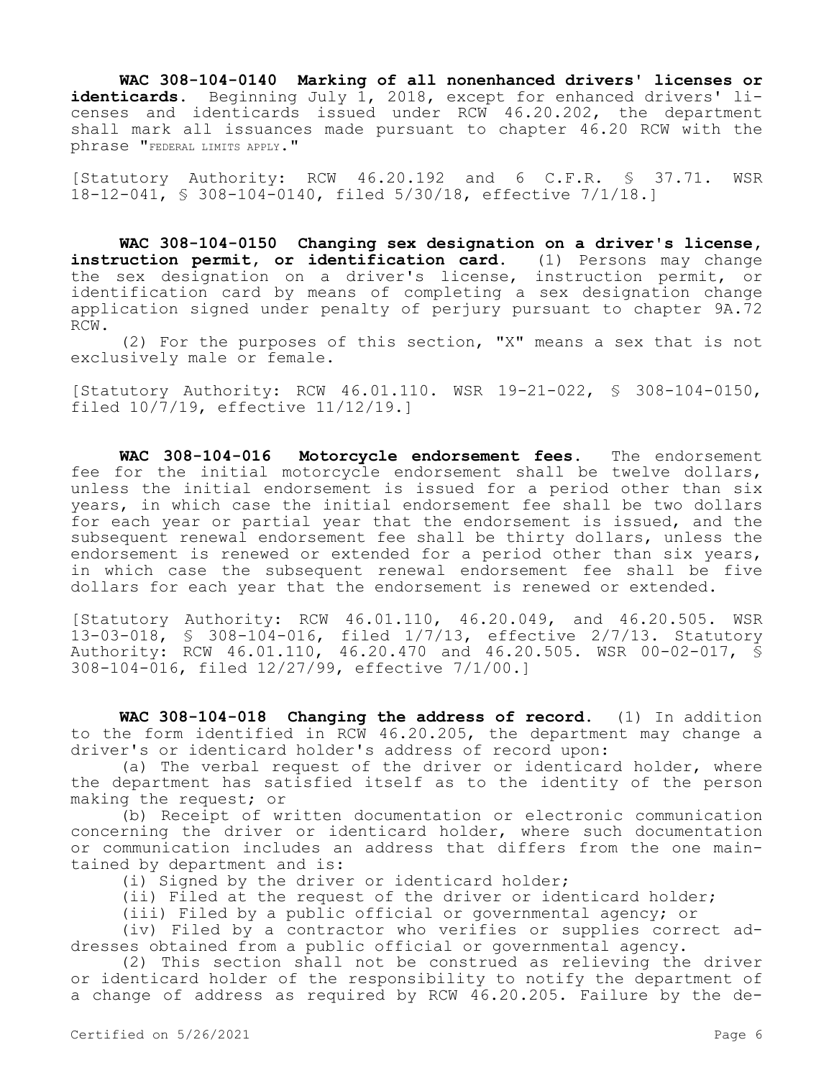**WAC 308-104-0140 Marking of all nonenhanced drivers' licenses or identicards.** Beginning July 1, 2018, except for enhanced drivers' licenses and identicards issued under RCW 46.20.202, the department shall mark all issuances made pursuant to chapter 46.20 RCW with the phrase "FEDERAL LIMITS APPLY."

[Statutory Authority: RCW 46.20.192 and 6 C.F.R. § 37.71. WSR 18-12-041, § 308-104-0140, filed 5/30/18, effective 7/1/18.]

**WAC 308-104-0150 Changing sex designation on a driver's license, instruction permit, or identification card.** (1) Persons may change the sex designation on a driver's license, instruction permit, or identification card by means of completing a sex designation change application signed under penalty of perjury pursuant to chapter 9A.72 RCW.

(2) For the purposes of this section, "X" means a sex that is not exclusively male or female.

[Statutory Authority: RCW 46.01.110. WSR 19-21-022, § 308-104-0150, filed 10/7/19, effective 11/12/19.]

**WAC 308-104-016 Motorcycle endorsement fees.** The endorsement fee for the initial motorcycle endorsement shall be twelve dollars, unless the initial endorsement is issued for a period other than six years, in which case the initial endorsement fee shall be two dollars for each year or partial year that the endorsement is issued, and the subsequent renewal endorsement fee shall be thirty dollars, unless the endorsement is renewed or extended for a period other than six years, in which case the subsequent renewal endorsement fee shall be five dollars for each year that the endorsement is renewed or extended.

[Statutory Authority: RCW 46.01.110, 46.20.049, and 46.20.505. WSR 13-03-018, § 308-104-016, filed 1/7/13, effective 2/7/13. Statutory Authority: RCW 46.01.110, 46.20.470 and 46.20.505. WSR 00-02-017, § 308-104-016, filed 12/27/99, effective 7/1/00.]

**WAC 308-104-018 Changing the address of record.** (1) In addition to the form identified in RCW 46.20.205, the department may change a driver's or identicard holder's address of record upon:

(a) The verbal request of the driver or identicard holder, where the department has satisfied itself as to the identity of the person making the request; or

(b) Receipt of written documentation or electronic communication concerning the driver or identicard holder, where such documentation or communication includes an address that differs from the one maintained by department and is:

(i) Signed by the driver or identicard holder;

(ii) Filed at the request of the driver or identicard holder;

(iii) Filed by a public official or governmental agency; or

(iv) Filed by a contractor who verifies or supplies correct addresses obtained from a public official or governmental agency.

(2) This section shall not be construed as relieving the driver or identicard holder of the responsibility to notify the department of a change of address as required by RCW 46.20.205. Failure by the de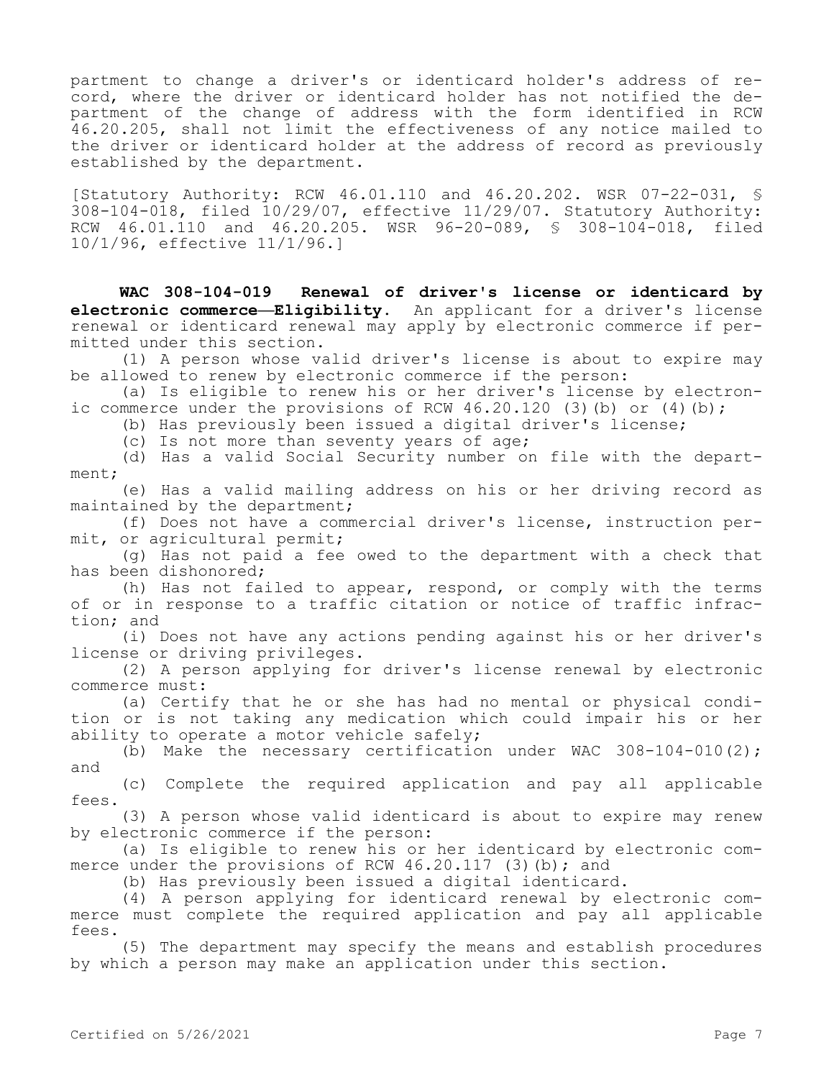partment to change a driver's or identicard holder's address of record, where the driver or identicard holder has not notified the department of the change of address with the form identified in RCW 46.20.205, shall not limit the effectiveness of any notice mailed to the driver or identicard holder at the address of record as previously established by the department.

[Statutory Authority: RCW 46.01.110 and 46.20.202. WSR 07-22-031, § 308-104-018, filed 10/29/07, effective 11/29/07. Statutory Authority: RCW 46.01.110 and 46.20.205. WSR 96-20-089, § 308-104-018, filed 10/1/96, effective 11/1/96.]

**WAC 308-104-019 Renewal of driver's license or identicard by electronic commerce—Eligibility.** An applicant for a driver's license renewal or identicard renewal may apply by electronic commerce if permitted under this section.

(1) A person whose valid driver's license is about to expire may be allowed to renew by electronic commerce if the person:

(a) Is eligible to renew his or her driver's license by electronic commerce under the provisions of RCW  $46.20.120$  (3)(b) or (4)(b);

(b) Has previously been issued a digital driver's license;

(c) Is not more than seventy years of age;

(d) Has a valid Social Security number on file with the department;

(e) Has a valid mailing address on his or her driving record as maintained by the department;

(f) Does not have a commercial driver's license, instruction permit, or agricultural permit;

(g) Has not paid a fee owed to the department with a check that has been dishonored;

(h) Has not failed to appear, respond, or comply with the terms of or in response to a traffic citation or notice of traffic infraction; and

(i) Does not have any actions pending against his or her driver's license or driving privileges.

(2) A person applying for driver's license renewal by electronic commerce must:

(a) Certify that he or she has had no mental or physical condition or is not taking any medication which could impair his or her ability to operate a motor vehicle safely;

(b) Make the necessary certification under WAC  $308-104-010(2)$ ; and

(c) Complete the required application and pay all applicable fees.

(3) A person whose valid identicard is about to expire may renew by electronic commerce if the person:

(a) Is eligible to renew his or her identicard by electronic commerce under the provisions of RCW  $46.20.117$  (3)(b); and

(b) Has previously been issued a digital identicard.

(4) A person applying for identicard renewal by electronic commerce must complete the required application and pay all applicable fees.

(5) The department may specify the means and establish procedures by which a person may make an application under this section.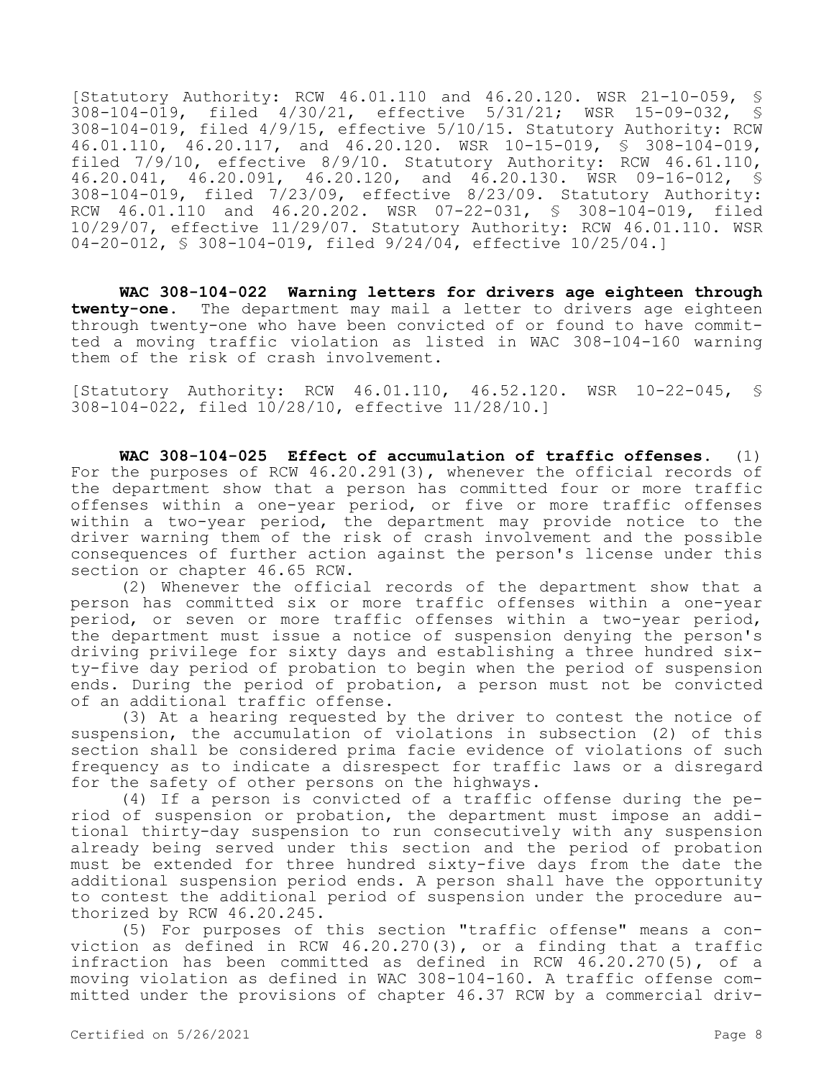[Statutory Authority: RCW 46.01.110 and 46.20.120. WSR 21-10-059, § 308-104-019, filed 4/30/21, effective 5/31/21; WSR 15-09-032, § 308-104-019, filed 4/9/15, effective 5/10/15. Statutory Authority: RCW 46.01.110, 46.20.117, and 46.20.120. WSR 10-15-019, § 308-104-019, filed 7/9/10, effective 8/9/10. Statutory Authority: RCW 46.61.110, 46.20.041, 46.20.091, 46.20.120, and 46.20.130. WSR 09-16-012, § 308-104-019, filed 7/23/09, effective 8/23/09. Statutory Authority: RCW 46.01.110 and 46.20.202. WSR 07-22-031, § 308-104-019, filed 10/29/07, effective 11/29/07. Statutory Authority: RCW 46.01.110. WSR 04-20-012, § 308-104-019, filed 9/24/04, effective 10/25/04.]

**WAC 308-104-022 Warning letters for drivers age eighteen through twenty-one.** The department may mail a letter to drivers age eighteen through twenty-one who have been convicted of or found to have committed a moving traffic violation as listed in WAC 308-104-160 warning them of the risk of crash involvement.

[Statutory Authority: RCW 46.01.110, 46.52.120. WSR 10-22-045, § 308-104-022, filed 10/28/10, effective 11/28/10.]

**WAC 308-104-025 Effect of accumulation of traffic offenses.** (1) For the purposes of RCW 46.20.291(3), whenever the official records of the department show that a person has committed four or more traffic offenses within a one-year period, or five or more traffic offenses within a two-year period, the department may provide notice to the driver warning them of the risk of crash involvement and the possible consequences of further action against the person's license under this section or chapter 46.65 RCW.

(2) Whenever the official records of the department show that a person has committed six or more traffic offenses within a one-year period, or seven or more traffic offenses within a two-year period, the department must issue a notice of suspension denying the person's driving privilege for sixty days and establishing a three hundred sixty-five day period of probation to begin when the period of suspension ends. During the period of probation, a person must not be convicted of an additional traffic offense.

(3) At a hearing requested by the driver to contest the notice of suspension, the accumulation of violations in subsection (2) of this section shall be considered prima facie evidence of violations of such frequency as to indicate a disrespect for traffic laws or a disregard for the safety of other persons on the highways.

(4) If a person is convicted of a traffic offense during the period of suspension or probation, the department must impose an additional thirty-day suspension to run consecutively with any suspension already being served under this section and the period of probation must be extended for three hundred sixty-five days from the date the additional suspension period ends. A person shall have the opportunity to contest the additional period of suspension under the procedure authorized by RCW 46.20.245.

(5) For purposes of this section "traffic offense" means a conviction as defined in RCW 46.20.270(3), or a finding that a traffic infraction has been committed as defined in RCW 46.20.270(5), of a moving violation as defined in WAC 308-104-160. A traffic offense committed under the provisions of chapter 46.37 RCW by a commercial driv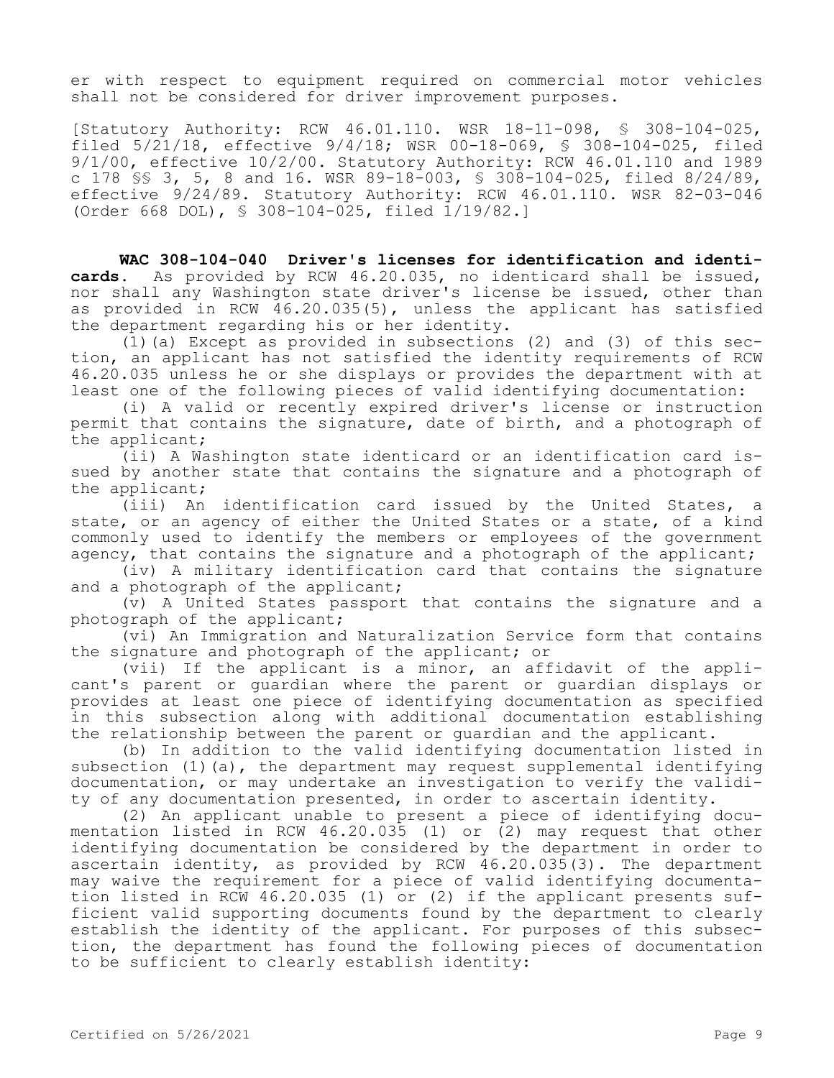er with respect to equipment required on commercial motor vehicles shall not be considered for driver improvement purposes.

[Statutory Authority: RCW 46.01.110. WSR 18-11-098, § 308-104-025, filed 5/21/18, effective 9/4/18; WSR 00-18-069, § 308-104-025, filed 9/1/00, effective 10/2/00. Statutory Authority: RCW 46.01.110 and 1989 c 178 §§ 3, 5, 8 and 16. WSR 89-18-003, § 308-104-025, filed 8/24/89, effective 9/24/89. Statutory Authority: RCW 46.01.110. WSR 82-03-046 (Order 668 DOL), § 308-104-025, filed 1/19/82.]

**WAC 308-104-040 Driver's licenses for identification and identicards.** As provided by RCW 46.20.035, no identicard shall be issued, nor shall any Washington state driver's license be issued, other than as provided in RCW 46.20.035(5), unless the applicant has satisfied the department regarding his or her identity.

(1)(a) Except as provided in subsections (2) and (3) of this section, an applicant has not satisfied the identity requirements of RCW 46.20.035 unless he or she displays or provides the department with at least one of the following pieces of valid identifying documentation:

(i) A valid or recently expired driver's license or instruction permit that contains the signature, date of birth, and a photograph of the applicant;

(ii) A Washington state identicard or an identification card issued by another state that contains the signature and a photograph of the applicant;

(iii) An identification card issued by the United States, a state, or an agency of either the United States or a state, of a kind commonly used to identify the members or employees of the government agency, that contains the signature and a photograph of the applicant;

(iv) A military identification card that contains the signature and a photograph of the applicant;

(v) A United States passport that contains the signature and a photograph of the applicant;

(vi) An Immigration and Naturalization Service form that contains the signature and photograph of the applicant; or

(vii) If the applicant is a minor, an affidavit of the applicant's parent or guardian where the parent or guardian displays or provides at least one piece of identifying documentation as specified in this subsection along with additional documentation establishing the relationship between the parent or guardian and the applicant.

(b) In addition to the valid identifying documentation listed in subsection (1)(a), the department may request supplemental identifying documentation, or may undertake an investigation to verify the validity of any documentation presented, in order to ascertain identity.

(2) An applicant unable to present a piece of identifying documentation listed in RCW 46.20.035 (1) or (2) may request that other identifying documentation be considered by the department in order to ascertain identity, as provided by RCW 46.20.035(3). The department may waive the requirement for a piece of valid identifying documentation listed in RCW 46.20.035 (1) or (2) if the applicant presents sufficient valid supporting documents found by the department to clearly establish the identity of the applicant. For purposes of this subsection, the department has found the following pieces of documentation to be sufficient to clearly establish identity: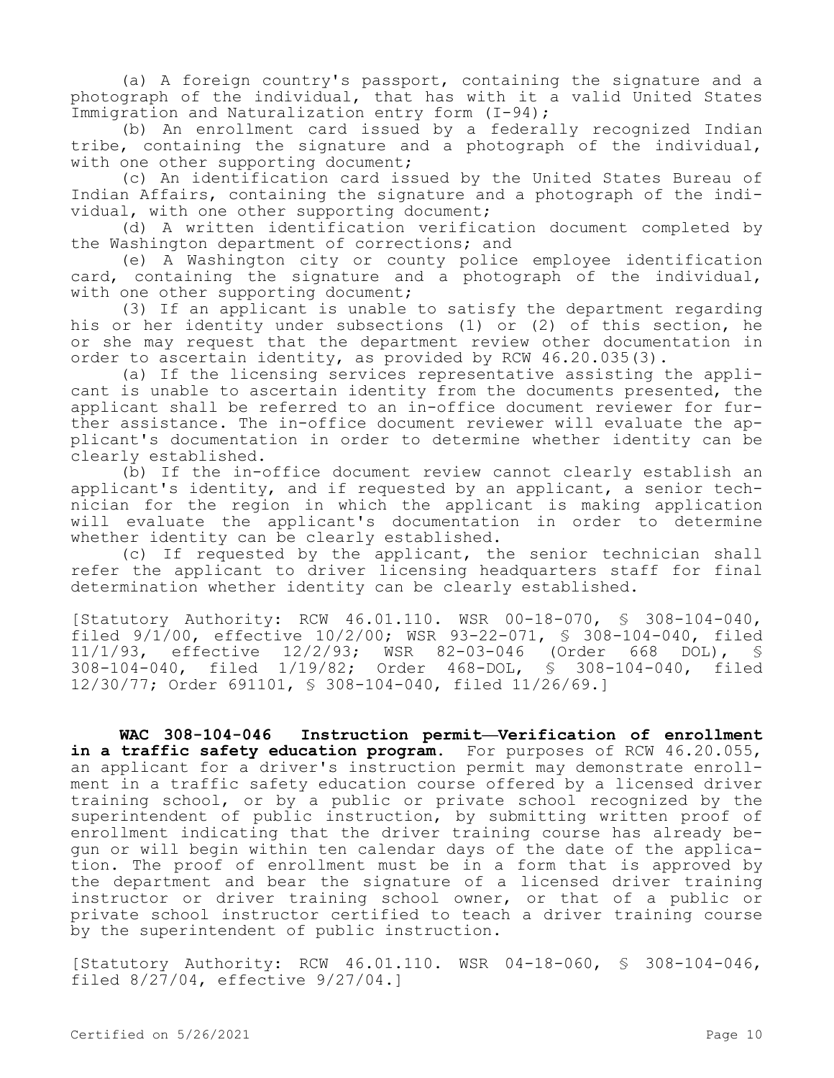(a) A foreign country's passport, containing the signature and a photograph of the individual, that has with it a valid United States Immigration and Naturalization entry form (I-94);

(b) An enrollment card issued by a federally recognized Indian tribe, containing the signature and a photograph of the individual, with one other supporting document;

(c) An identification card issued by the United States Bureau of Indian Affairs, containing the signature and a photograph of the individual, with one other supporting document;

(d) A written identification verification document completed by the Washington department of corrections; and

(e) A Washington city or county police employee identification card, containing the signature and a photograph of the individual, with one other supporting document;

(3) If an applicant is unable to satisfy the department regarding his or her identity under subsections (1) or (2) of this section, he or she may request that the department review other documentation in order to ascertain identity, as provided by RCW 46.20.035(3).

(a) If the licensing services representative assisting the applicant is unable to ascertain identity from the documents presented, the applicant shall be referred to an in-office document reviewer for further assistance. The in-office document reviewer will evaluate the applicant's documentation in order to determine whether identity can be clearly established.

(b) If the in-office document review cannot clearly establish an applicant's identity, and if requested by an applicant, a senior technician for the region in which the applicant is making application will evaluate the applicant's documentation in order to determine whether identity can be clearly established.

(c) If requested by the applicant, the senior technician shall refer the applicant to driver licensing headquarters staff for final determination whether identity can be clearly established.

[Statutory Authority: RCW 46.01.110. WSR 00-18-070, § 308-104-040, filed 9/1/00, effective 10/2/00; WSR 93-22-071, § 308-104-040, filed 11/1/93, effective 12/2/93; WSR 82-03-046 (Order 668 DOL), § 308-104-040, filed 1/19/82; Order 468-DOL, § 308-104-040, filed 12/30/77; Order 691101, § 308-104-040, filed 11/26/69.]

**WAC 308-104-046 Instruction permit—Verification of enrollment**  in a traffic safety education program. For purposes of RCW 46.20.055, an applicant for a driver's instruction permit may demonstrate enrollment in a traffic safety education course offered by a licensed driver training school, or by a public or private school recognized by the superintendent of public instruction, by submitting written proof of enrollment indicating that the driver training course has already begun or will begin within ten calendar days of the date of the application. The proof of enrollment must be in a form that is approved by the department and bear the signature of a licensed driver training instructor or driver training school owner, or that of a public or private school instructor certified to teach a driver training course by the superintendent of public instruction.

[Statutory Authority: RCW 46.01.110. WSR 04-18-060, § 308-104-046, filed 8/27/04, effective 9/27/04.]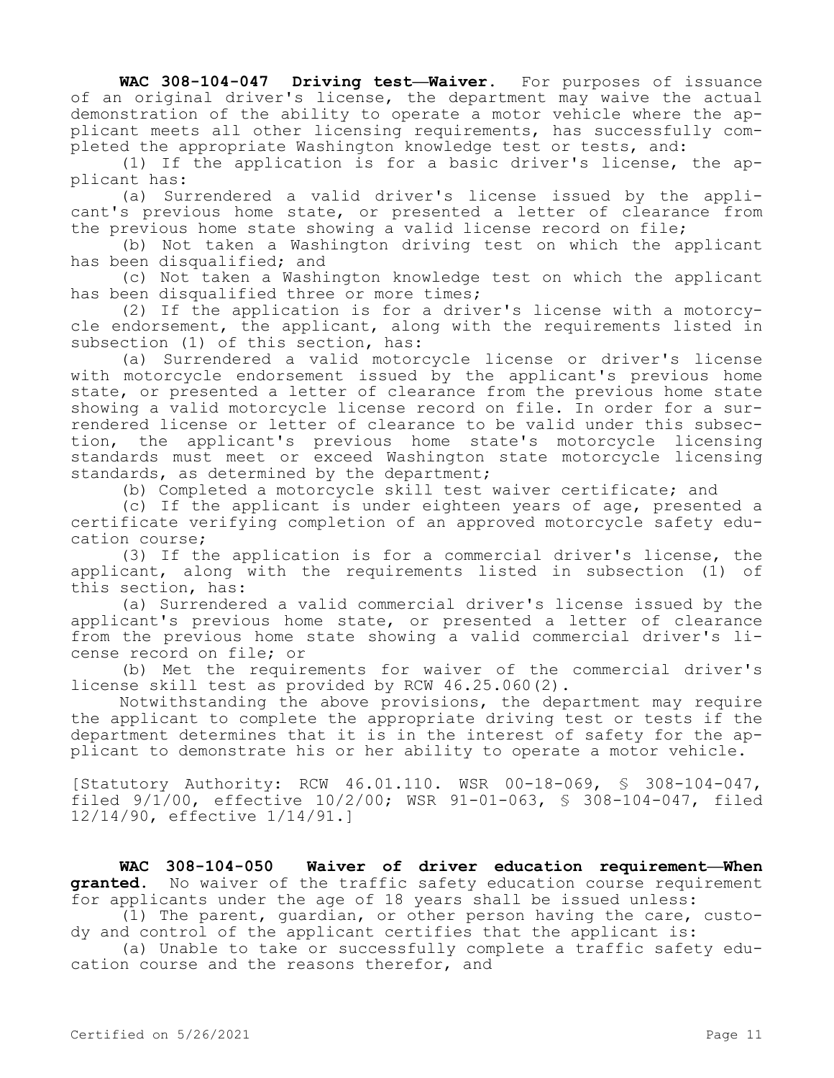**WAC 308-104-047 Driving test—Waiver.** For purposes of issuance of an original driver's license, the department may waive the actual demonstration of the ability to operate a motor vehicle where the applicant meets all other licensing requirements, has successfully completed the appropriate Washington knowledge test or tests, and:

(1) If the application is for a basic driver's license, the applicant has:

(a) Surrendered a valid driver's license issued by the applicant's previous home state, or presented a letter of clearance from the previous home state showing a valid license record on file;

(b) Not taken a Washington driving test on which the applicant has been disqualified; and

(c) Not taken a Washington knowledge test on which the applicant has been disqualified three or more times;

(2) If the application is for a driver's license with a motorcycle endorsement, the applicant, along with the requirements listed in subsection (1) of this section, has:

(a) Surrendered a valid motorcycle license or driver's license with motorcycle endorsement issued by the applicant's previous home state, or presented a letter of clearance from the previous home state showing a valid motorcycle license record on file. In order for a surrendered license or letter of clearance to be valid under this subsection, the applicant's previous home state's motorcycle licensing standards must meet or exceed Washington state motorcycle licensing standards, as determined by the department;

(b) Completed a motorcycle skill test waiver certificate; and

(c) If the applicant is under eighteen years of age, presented a certificate verifying completion of an approved motorcycle safety education course;

(3) If the application is for a commercial driver's license, the applicant, along with the requirements listed in subsection (1) of this section, has:

(a) Surrendered a valid commercial driver's license issued by the applicant's previous home state, or presented a letter of clearance from the previous home state showing a valid commercial driver's license record on file; or

(b) Met the requirements for waiver of the commercial driver's license skill test as provided by RCW 46.25.060(2).

Notwithstanding the above provisions, the department may require the applicant to complete the appropriate driving test or tests if the department determines that it is in the interest of safety for the applicant to demonstrate his or her ability to operate a motor vehicle.

[Statutory Authority: RCW 46.01.110. WSR 00-18-069, § 308-104-047, filed 9/1/00, effective 10/2/00; WSR 91-01-063, § 308-104-047, filed 12/14/90, effective 1/14/91.]

**WAC 308-104-050 Waiver of driver education requirement—When granted.** No waiver of the traffic safety education course requirement for applicants under the age of 18 years shall be issued unless:

(1) The parent, guardian, or other person having the care, custody and control of the applicant certifies that the applicant is:

(a) Unable to take or successfully complete a traffic safety education course and the reasons therefor, and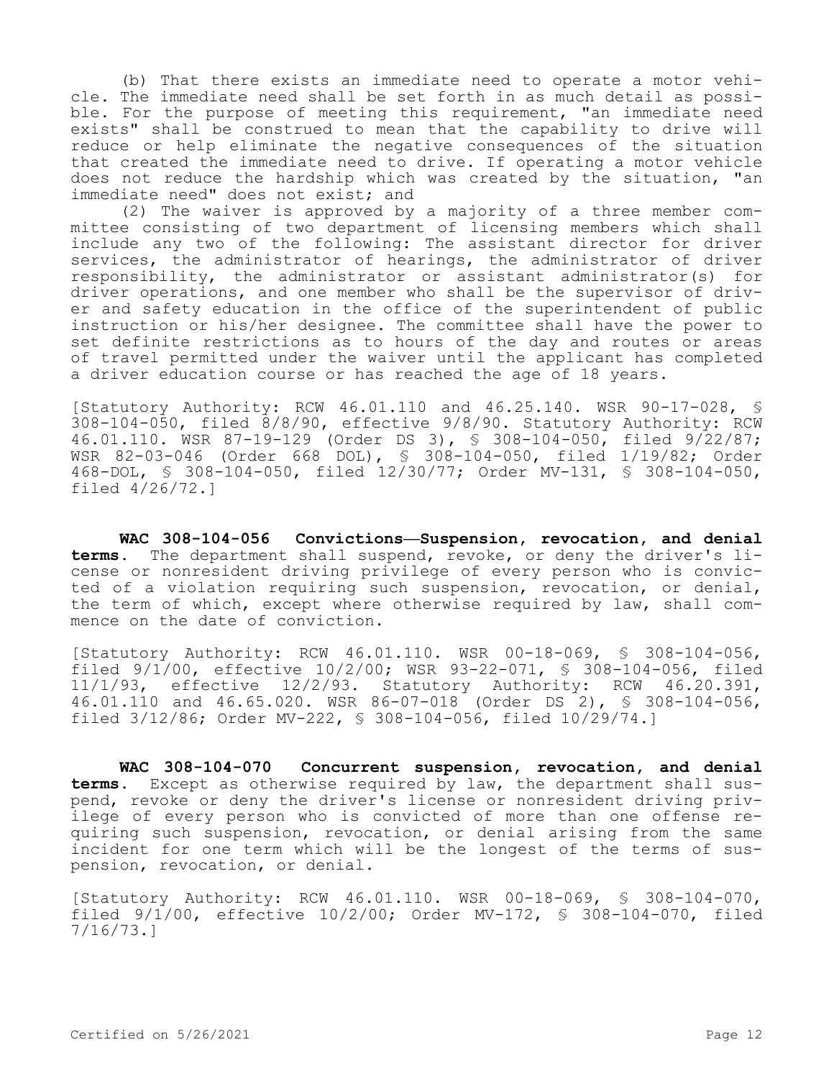(b) That there exists an immediate need to operate a motor vehicle. The immediate need shall be set forth in as much detail as possible. For the purpose of meeting this requirement, "an immediate need exists" shall be construed to mean that the capability to drive will reduce or help eliminate the negative consequences of the situation that created the immediate need to drive. If operating a motor vehicle does not reduce the hardship which was created by the situation, "an immediate need" does not exist; and

(2) The waiver is approved by a majority of a three member committee consisting of two department of licensing members which shall include any two of the following: The assistant director for driver services, the administrator of hearings, the administrator of driver responsibility, the administrator or assistant administrator(s) for driver operations, and one member who shall be the supervisor of driver and safety education in the office of the superintendent of public instruction or his/her designee. The committee shall have the power to set definite restrictions as to hours of the day and routes or areas of travel permitted under the waiver until the applicant has completed a driver education course or has reached the age of 18 years.

[Statutory Authority: RCW 46.01.110 and 46.25.140. WSR 90-17-028, § 308-104-050, filed 8/8/90, effective 9/8/90. Statutory Authority: RCW 46.01.110. WSR 87-19-129 (Order DS 3), § 308-104-050, filed 9/22/87; WSR 82-03-046 (Order 668 DOL), § 308-104-050, filed 1/19/82; Order 468-DOL, § 308-104-050, filed 12/30/77; Order MV-131, § 308-104-050, filed 4/26/72.]

**WAC 308-104-056 Convictions—Suspension, revocation, and denial terms.** The department shall suspend, revoke, or deny the driver's license or nonresident driving privilege of every person who is convicted of a violation requiring such suspension, revocation, or denial, the term of which, except where otherwise required by law, shall commence on the date of conviction.

[Statutory Authority: RCW 46.01.110. WSR 00-18-069, § 308-104-056, filed 9/1/00, effective 10/2/00; WSR 93-22-071, § 308-104-056, filed 11/1/93, effective 12/2/93. Statutory Authority: RCW 46.20.391, 46.01.110 and 46.65.020. WSR 86-07-018 (Order DS 2), § 308-104-056, filed 3/12/86; Order MV-222, § 308-104-056, filed 10/29/74.]

**WAC 308-104-070 Concurrent suspension, revocation, and denial terms.** Except as otherwise required by law, the department shall suspend, revoke or deny the driver's license or nonresident driving privilege of every person who is convicted of more than one offense requiring such suspension, revocation, or denial arising from the same incident for one term which will be the longest of the terms of suspension, revocation, or denial.

[Statutory Authority: RCW 46.01.110. WSR 00-18-069, § 308-104-070, filed 9/1/00, effective 10/2/00; Order MV-172, § 308-104-070, filed 7/16/73.]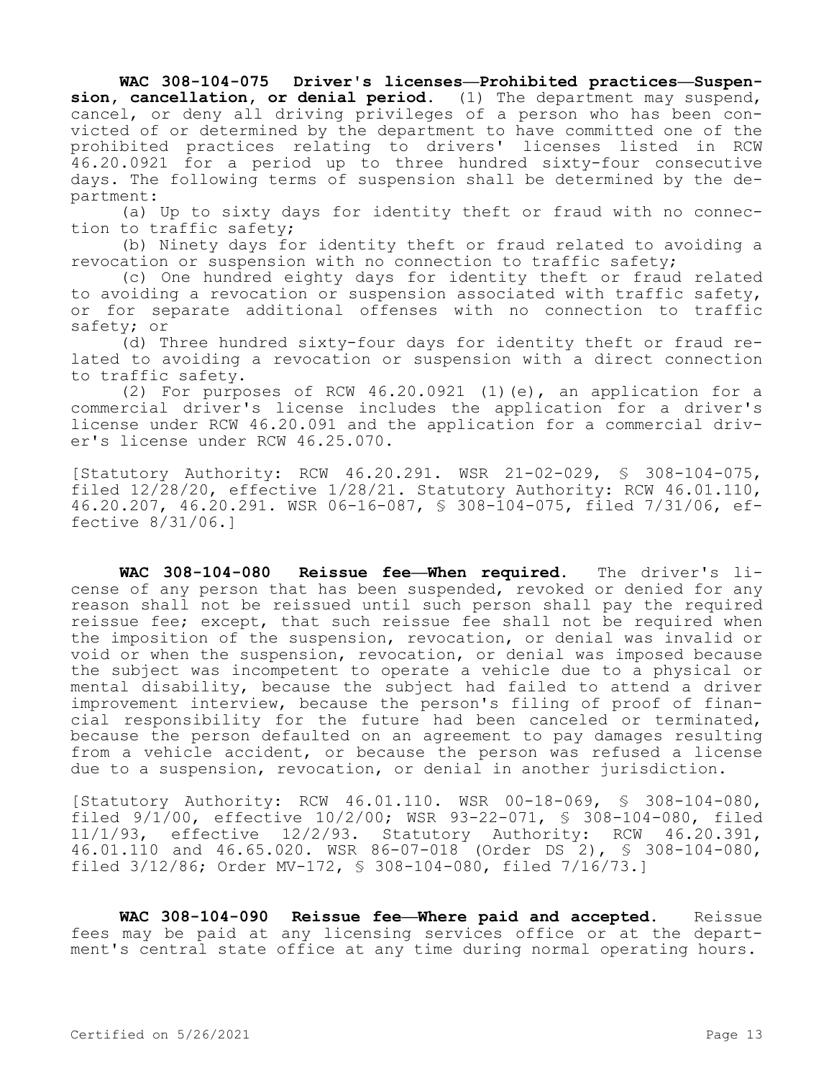**WAC 308-104-075 Driver's licenses—Prohibited practices—Suspension, cancellation, or denial period.** (1) The department may suspend, cancel, or deny all driving privileges of a person who has been convicted of or determined by the department to have committed one of the prohibited practices relating to drivers' licenses listed in RCW 46.20.0921 for a period up to three hundred sixty-four consecutive days. The following terms of suspension shall be determined by the department:

(a) Up to sixty days for identity theft or fraud with no connection to traffic safety;

(b) Ninety days for identity theft or fraud related to avoiding a revocation or suspension with no connection to traffic safety;

(c) One hundred eighty days for identity theft or fraud related to avoiding a revocation or suspension associated with traffic safety, or for separate additional offenses with no connection to traffic safety; or

(d) Three hundred sixty-four days for identity theft or fraud related to avoiding a revocation or suspension with a direct connection to traffic safety.

(2) For purposes of RCW 46.20.0921 (1)(e), an application for a commercial driver's license includes the application for a driver's license under RCW 46.20.091 and the application for a commercial driver's license under RCW 46.25.070.

[Statutory Authority: RCW 46.20.291. WSR 21-02-029, § 308-104-075, filed 12/28/20, effective 1/28/21. Statutory Authority: RCW 46.01.110, 46.20.207, 46.20.291. WSR 06-16-087, § 308-104-075, filed 7/31/06, effective 8/31/06.]

**WAC 308-104-080 Reissue fee—When required.** The driver's license of any person that has been suspended, revoked or denied for any reason shall not be reissued until such person shall pay the required reissue fee; except, that such reissue fee shall not be required when the imposition of the suspension, revocation, or denial was invalid or void or when the suspension, revocation, or denial was imposed because the subject was incompetent to operate a vehicle due to a physical or mental disability, because the subject had failed to attend a driver improvement interview, because the person's filing of proof of financial responsibility for the future had been canceled or terminated, because the person defaulted on an agreement to pay damages resulting from a vehicle accident, or because the person was refused a license due to a suspension, revocation, or denial in another jurisdiction.

[Statutory Authority: RCW 46.01.110. WSR 00-18-069, § 308-104-080, filed 9/1/00, effective 10/2/00; WSR 93-22-071, § 308-104-080, filed 11/1/93, effective 12/2/93. Statutory Authority: RCW 46.20.391, 46.01.110 and 46.65.020. WSR 86-07-018 (Order DS 2), § 308-104-080, filed 3/12/86; Order MV-172, § 308-104-080, filed 7/16/73.]

**WAC 308-104-090 Reissue fee—Where paid and accepted.** Reissue fees may be paid at any licensing services office or at the department's central state office at any time during normal operating hours.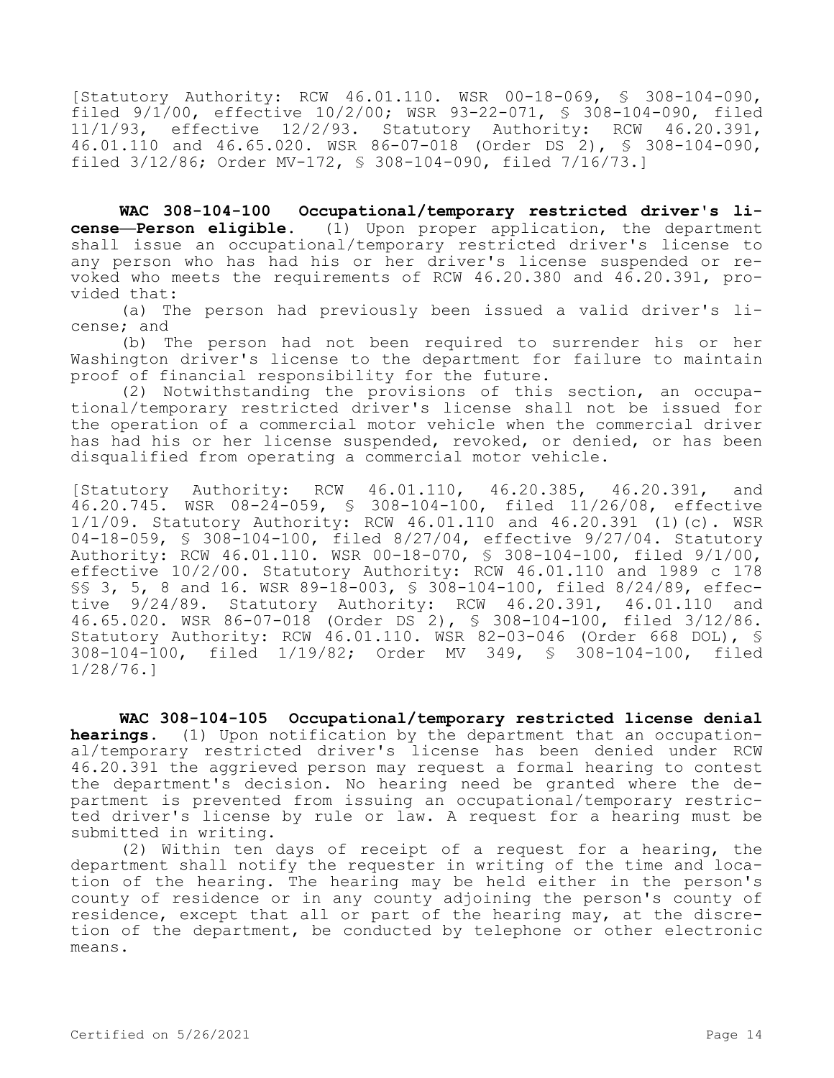[Statutory Authority: RCW 46.01.110. WSR 00-18-069, § 308-104-090, filed 9/1/00, effective 10/2/00; WSR 93-22-071, § 308-104-090, filed 11/1/93, effective 12/2/93. Statutory Authority: RCW 46.20.391, 46.01.110 and 46.65.020. WSR 86-07-018 (Order DS 2), § 308-104-090, filed 3/12/86; Order MV-172, § 308-104-090, filed 7/16/73.]

**WAC 308-104-100 Occupational/temporary restricted driver's license—Person eligible.** (1) Upon proper application, the department shall issue an occupational/temporary restricted driver's license to any person who has had his or her driver's license suspended or revoked who meets the requirements of RCW 46.20.380 and 46.20.391, provided that:

(a) The person had previously been issued a valid driver's license; and

(b) The person had not been required to surrender his or her Washington driver's license to the department for failure to maintain proof of financial responsibility for the future.

(2) Notwithstanding the provisions of this section, an occupational/temporary restricted driver's license shall not be issued for the operation of a commercial motor vehicle when the commercial driver has had his or her license suspended, revoked, or denied, or has been disqualified from operating a commercial motor vehicle.

[Statutory Authority: RCW 46.01.110, 46.20.385, 46.20.391, and 46.20.745. WSR 08-24-059, § 308-104-100, filed 11/26/08, effective 1/1/09. Statutory Authority: RCW 46.01.110 and 46.20.391 (1)(c). WSR 04-18-059, § 308-104-100, filed 8/27/04, effective 9/27/04. Statutory Authority: RCW 46.01.110. WSR 00-18-070, § 308-104-100, filed 9/1/00, effective 10/2/00. Statutory Authority: RCW 46.01.110 and 1989 c 178 §§ 3, 5, 8 and 16. WSR 89-18-003, § 308-104-100, filed 8/24/89, effective 9/24/89. Statutory Authority: RCW 46.20.391, 46.01.110 and 46.65.020. WSR 86-07-018 (Order DS 2), § 308-104-100, filed 3/12/86. Statutory Authority: RCW 46.01.110. WSR 82-03-046 (Order 668 DOL), § 308-104-100, filed 1/19/82; Order MV 349, § 308-104-100, filed 1/28/76.]

**WAC 308-104-105 Occupational/temporary restricted license denial hearings.** (1) Upon notification by the department that an occupational/temporary restricted driver's license has been denied under RCW 46.20.391 the aggrieved person may request a formal hearing to contest the department's decision. No hearing need be granted where the department is prevented from issuing an occupational/temporary restricted driver's license by rule or law. A request for a hearing must be submitted in writing.

(2) Within ten days of receipt of a request for a hearing, the department shall notify the requester in writing of the time and location of the hearing. The hearing may be held either in the person's county of residence or in any county adjoining the person's county of residence, except that all or part of the hearing may, at the discretion of the department, be conducted by telephone or other electronic means.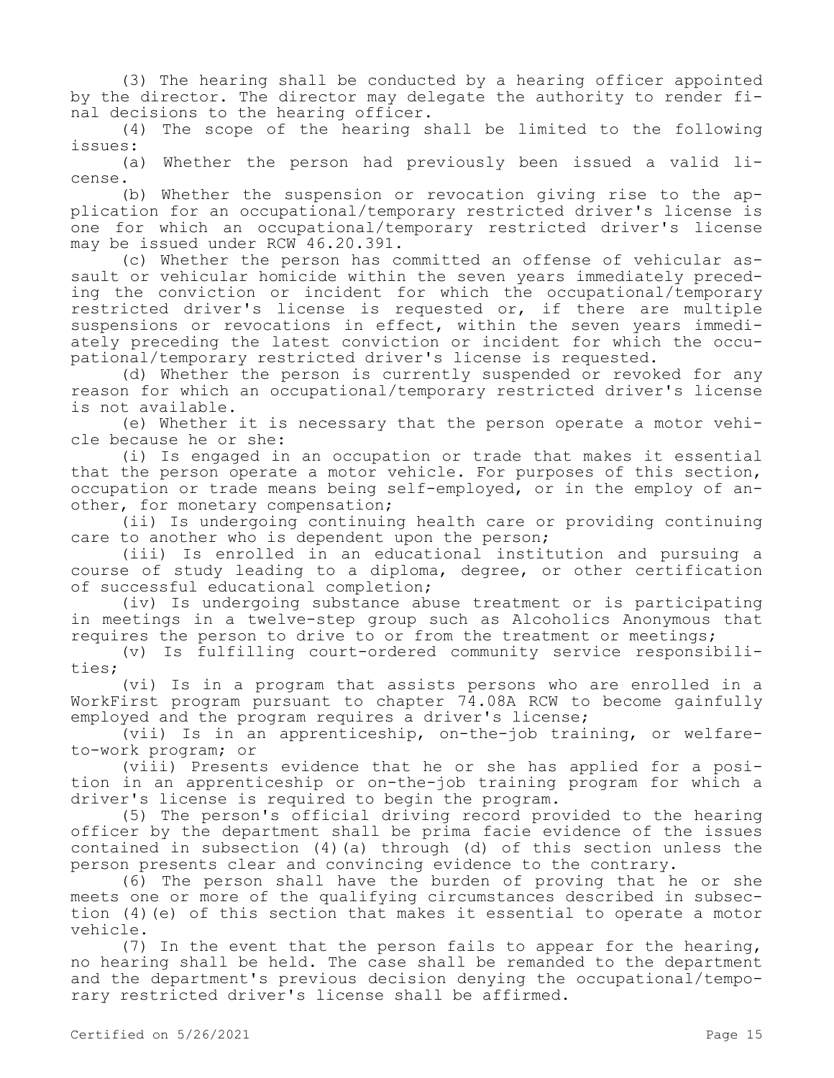(3) The hearing shall be conducted by a hearing officer appointed by the director. The director may delegate the authority to render final decisions to the hearing officer.

(4) The scope of the hearing shall be limited to the following issues:

(a) Whether the person had previously been issued a valid license.

(b) Whether the suspension or revocation giving rise to the application for an occupational/temporary restricted driver's license is one for which an occupational/temporary restricted driver's license may be issued under RCW 46.20.391.

(c) Whether the person has committed an offense of vehicular assault or vehicular homicide within the seven years immediately preceding the conviction or incident for which the occupational/temporary restricted driver's license is requested or, if there are multiple suspensions or revocations in effect, within the seven years immediately preceding the latest conviction or incident for which the occupational/temporary restricted driver's license is requested.

(d) Whether the person is currently suspended or revoked for any reason for which an occupational/temporary restricted driver's license is not available.

(e) Whether it is necessary that the person operate a motor vehicle because he or she:

(i) Is engaged in an occupation or trade that makes it essential that the person operate a motor vehicle. For purposes of this section, occupation or trade means being self-employed, or in the employ of another, for monetary compensation;

(ii) Is undergoing continuing health care or providing continuing care to another who is dependent upon the person;

(iii) Is enrolled in an educational institution and pursuing a course of study leading to a diploma, degree, or other certification of successful educational completion;

(iv) Is undergoing substance abuse treatment or is participating in meetings in a twelve-step group such as Alcoholics Anonymous that requires the person to drive to or from the treatment or meetings;

(v) Is fulfilling court-ordered community service responsibilities;

(vi) Is in a program that assists persons who are enrolled in a WorkFirst program pursuant to chapter 74.08A RCW to become gainfully employed and the program requires a driver's license;

(vii) Is in an apprenticeship, on-the-job training, or welfareto-work program; or

(viii) Presents evidence that he or she has applied for a position in an apprenticeship or on-the-job training program for which a driver's license is required to begin the program.

(5) The person's official driving record provided to the hearing officer by the department shall be prima facie evidence of the issues contained in subsection  $(4)(a)$  through  $(d)$  of this section unless the person presents clear and convincing evidence to the contrary.

(6) The person shall have the burden of proving that he or she meets one or more of the qualifying circumstances described in subsection (4)(e) of this section that makes it essential to operate a motor vehicle.

(7) In the event that the person fails to appear for the hearing, no hearing shall be held. The case shall be remanded to the department and the department's previous decision denying the occupational/temporary restricted driver's license shall be affirmed.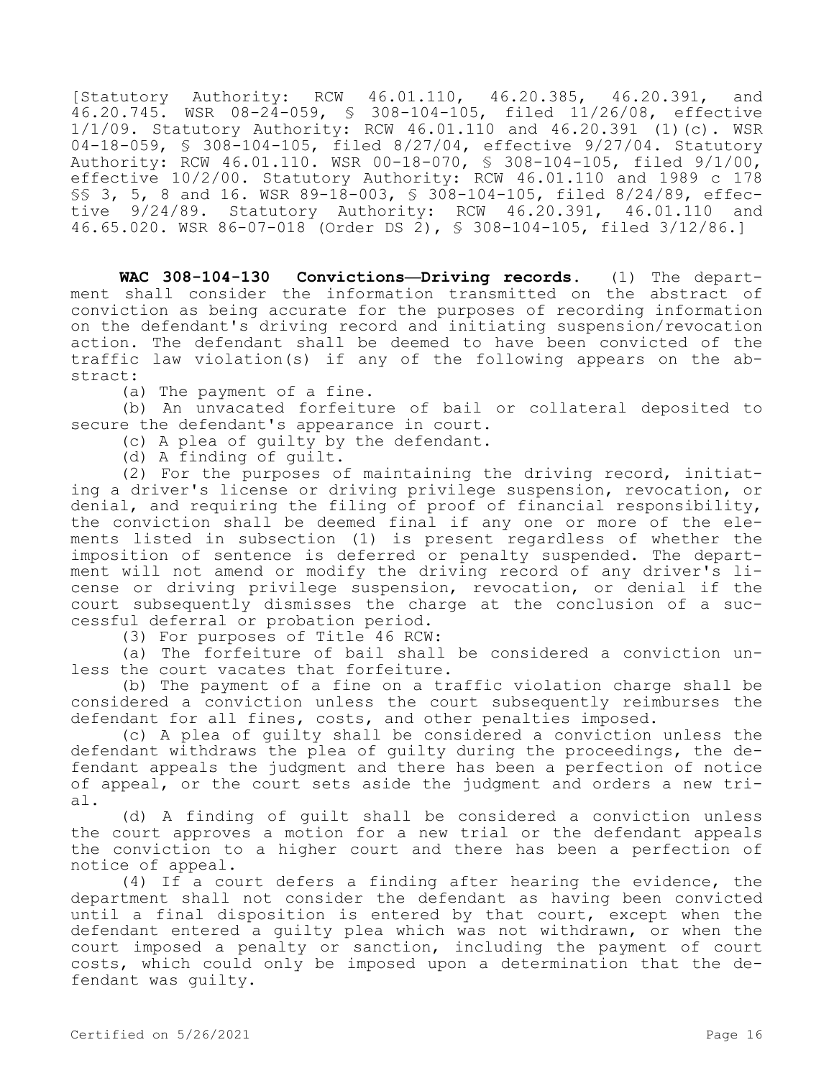[Statutory Authority: RCW 46.01.110, 46.20.385, 46.20.391, and 46.20.745. WSR 08-24-059, § 308-104-105, filed 11/26/08, effective 1/1/09. Statutory Authority: RCW 46.01.110 and 46.20.391 (1)(c). WSR 04-18-059, § 308-104-105, filed 8/27/04, effective 9/27/04. Statutory Authority: RCW 46.01.110. WSR 00-18-070, § 308-104-105, filed 9/1/00, effective 10/2/00. Statutory Authority: RCW 46.01.110 and 1989 c 178 §§ 3, 5, 8 and 16. WSR 89-18-003, § 308-104-105, filed 8/24/89, effective 9/24/89. Statutory Authority: RCW 46.20.391, 46.01.110 and 46.65.020. WSR 86-07-018 (Order DS 2), § 308-104-105, filed 3/12/86.]

**WAC 308-104-130 Convictions—Driving records.** (1) The department shall consider the information transmitted on the abstract of conviction as being accurate for the purposes of recording information on the defendant's driving record and initiating suspension/revocation action. The defendant shall be deemed to have been convicted of the traffic law violation(s) if any of the following appears on the abstract:

(a) The payment of a fine.

(b) An unvacated forfeiture of bail or collateral deposited to secure the defendant's appearance in court.

(c) A plea of guilty by the defendant.

(d) A finding of guilt.

(2) For the purposes of maintaining the driving record, initiating a driver's license or driving privilege suspension, revocation, or denial, and requiring the filing of proof of financial responsibility, the conviction shall be deemed final if any one or more of the elements listed in subsection (1) is present regardless of whether the imposition of sentence is deferred or penalty suspended. The department will not amend or modify the driving record of any driver's license or driving privilege suspension, revocation, or denial if the court subsequently dismisses the charge at the conclusion of a successful deferral or probation period.

(3) For purposes of Title 46 RCW:

(a) The forfeiture of bail shall be considered a conviction unless the court vacates that forfeiture.

(b) The payment of a fine on a traffic violation charge shall be considered a conviction unless the court subsequently reimburses the defendant for all fines, costs, and other penalties imposed.

(c) A plea of guilty shall be considered a conviction unless the defendant withdraws the plea of guilty during the proceedings, the defendant appeals the judgment and there has been a perfection of notice of appeal, or the court sets aside the judgment and orders a new trial.

(d) A finding of guilt shall be considered a conviction unless the court approves a motion for a new trial or the defendant appeals the conviction to a higher court and there has been a perfection of notice of appeal.

(4) If a court defers a finding after hearing the evidence, the department shall not consider the defendant as having been convicted until a final disposition is entered by that court, except when the defendant entered a guilty plea which was not withdrawn, or when the court imposed a penalty or sanction, including the payment of court costs, which could only be imposed upon a determination that the defendant was guilty.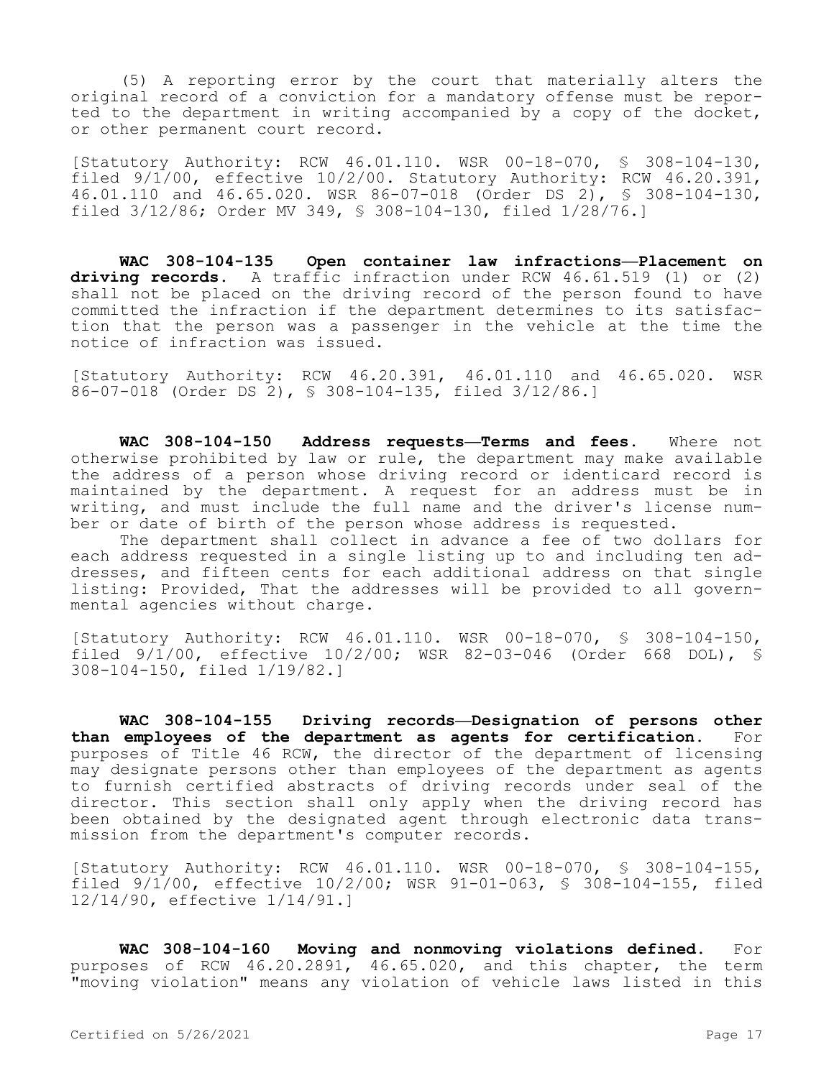(5) A reporting error by the court that materially alters the original record of a conviction for a mandatory offense must be reported to the department in writing accompanied by a copy of the docket, or other permanent court record.

[Statutory Authority: RCW 46.01.110. WSR 00-18-070, § 308-104-130, filed 9/1/00, effective 10/2/00. Statutory Authority: RCW 46.20.391, 46.01.110 and 46.65.020. WSR 86-07-018 (Order DS 2), § 308-104-130, filed 3/12/86; Order MV 349, § 308-104-130, filed 1/28/76.]

**WAC 308-104-135 Open container law infractions—Placement on driving records.** A traffic infraction under RCW 46.61.519 (1) or (2) shall not be placed on the driving record of the person found to have committed the infraction if the department determines to its satisfaction that the person was a passenger in the vehicle at the time the notice of infraction was issued.

[Statutory Authority: RCW 46.20.391, 46.01.110 and 46.65.020. WSR 86-07-018 (Order DS 2), § 308-104-135, filed 3/12/86.]

**WAC 308-104-150 Address requests—Terms and fees.** Where not otherwise prohibited by law or rule, the department may make available the address of a person whose driving record or identicard record is maintained by the department. A request for an address must be in writing, and must include the full name and the driver's license number or date of birth of the person whose address is requested.

The department shall collect in advance a fee of two dollars for each address requested in a single listing up to and including ten addresses, and fifteen cents for each additional address on that single listing: Provided, That the addresses will be provided to all governmental agencies without charge.

[Statutory Authority: RCW 46.01.110. WSR 00-18-070, § 308-104-150, filed 9/1/00, effective 10/2/00; WSR 82-03-046 (Order 668 DOL), § 308-104-150, filed 1/19/82.]

**WAC 308-104-155 Driving records—Designation of persons other than employees of the department as agents for certification.** For purposes of Title 46 RCW, the director of the department of licensing may designate persons other than employees of the department as agents to furnish certified abstracts of driving records under seal of the director. This section shall only apply when the driving record has been obtained by the designated agent through electronic data transmission from the department's computer records.

[Statutory Authority: RCW 46.01.110. WSR 00-18-070, § 308-104-155, filed 9/1/00, effective 10/2/00; WSR 91-01-063, § 308-104-155, filed 12/14/90, effective 1/14/91.]

**WAC 308-104-160 Moving and nonmoving violations defined.** For purposes of RCW 46.20.2891, 46.65.020, and this chapter, the term "moving violation" means any violation of vehicle laws listed in this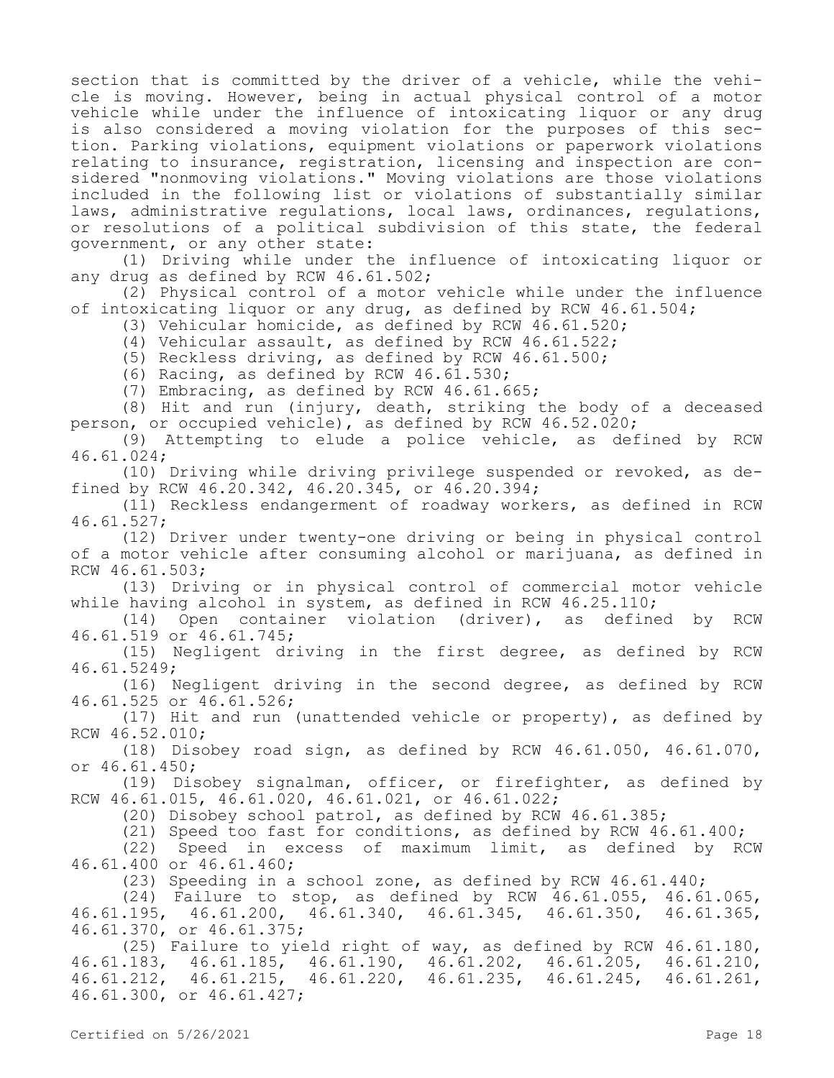section that is committed by the driver of a vehicle, while the vehicle is moving. However, being in actual physical control of a motor vehicle while under the influence of intoxicating liquor or any drug is also considered a moving violation for the purposes of this section. Parking violations, equipment violations or paperwork violations relating to insurance, registration, licensing and inspection are considered "nonmoving violations." Moving violations are those violations included in the following list or violations of substantially similar laws, administrative requlations, local laws, ordinances, requlations, or resolutions of a political subdivision of this state, the federal government, or any other state:

(1) Driving while under the influence of intoxicating liquor or any drug as defined by RCW 46.61.502;

(2) Physical control of a motor vehicle while under the influence of intoxicating liquor or any drug, as defined by RCW 46.61.504;

(3) Vehicular homicide, as defined by RCW 46.61.520;

(4) Vehicular assault, as defined by RCW 46.61.522;

(5) Reckless driving, as defined by RCW 46.61.500;

(6) Racing, as defined by RCW 46.61.530;

(7) Embracing, as defined by RCW 46.61.665;

(8) Hit and run (injury, death, striking the body of a deceased person, or occupied vehicle), as defined by RCW  $46.52.020$ ;

(9) Attempting to elude a police vehicle, as defined by RCW 46.61.024;

(10) Driving while driving privilege suspended or revoked, as defined by RCW 46.20.342, 46.20.345, or 46.20.394;

(11) Reckless endangerment of roadway workers, as defined in RCW 46.61.527;

(12) Driver under twenty-one driving or being in physical control of a motor vehicle after consuming alcohol or marijuana, as defined in RCW 46.61.503;

(13) Driving or in physical control of commercial motor vehicle while having alcohol in system, as defined in RCW 46.25.110;

(14) Open container violation (driver), as defined by RCW 46.61.519 or 46.61.745;

(15) Negligent driving in the first degree, as defined by RCW 46.61.5249;

(16) Negligent driving in the second degree, as defined by RCW 46.61.525 or 46.61.526;

(17) Hit and run (unattended vehicle or property), as defined by RCW 46.52.010;

(18) Disobey road sign, as defined by RCW 46.61.050, 46.61.070, or 46.61.450;

(19) Disobey signalman, officer, or firefighter, as defined by RCW 46.61.015, 46.61.020, 46.61.021, or 46.61.022;

(20) Disobey school patrol, as defined by RCW 46.61.385;

(21) Speed too fast for conditions, as defined by RCW 46.61.400;

(22) Speed in excess of maximum limit, as defined by RCW 46.61.400 or 46.61.460;

(23) Speeding in a school zone, as defined by RCW 46.61.440;

(24) Failure to stop, as defined by RCW 46.61.055, 46.61.065, 46.61.195, 46.61.200, 46.61.340, 46.61.345, 46.61.350, 46.61.365, 46.61.370, or 46.61.375;

(25) Failure to yield right of way, as defined by RCW 46.61.180, 46.61.183, 46.61.185, 46.61.190, 46.61.202, 46.61.205, 46.61.210, 46.61.212, 46.61.215, 46.61.220, 46.61.235, 46.61.245, 46.61.261, 46.61.300, or 46.61.427;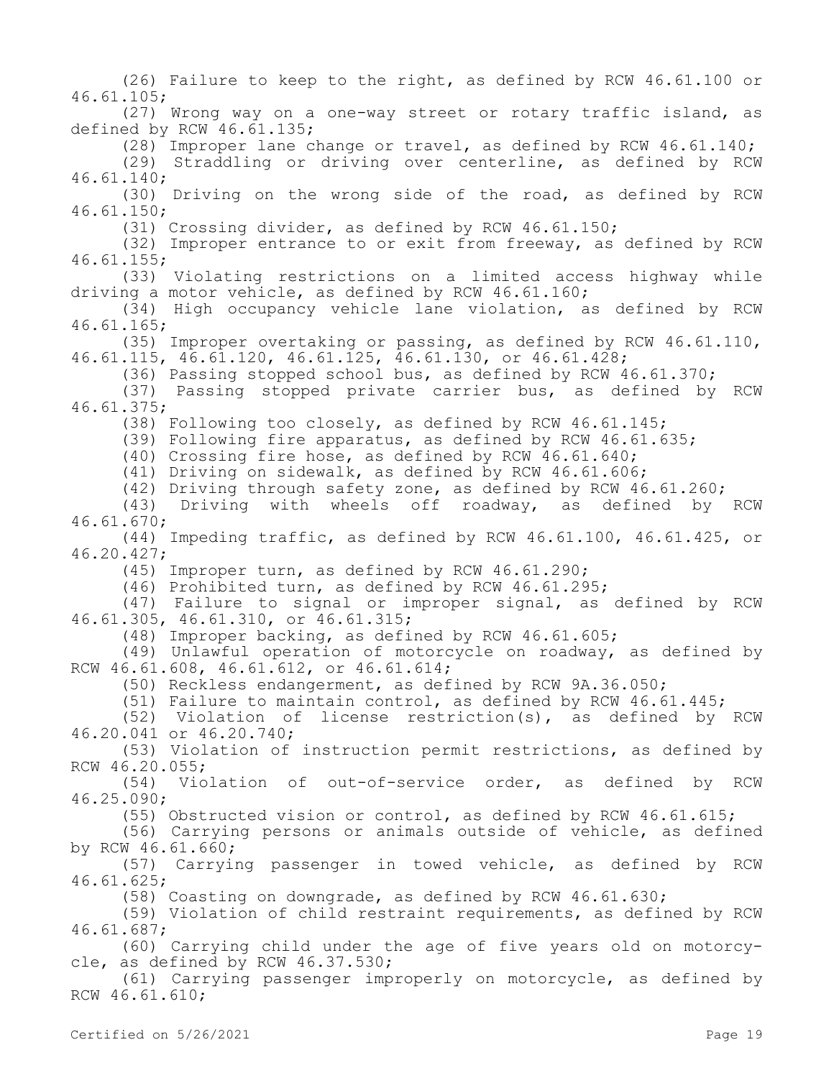(26) Failure to keep to the right, as defined by RCW 46.61.100 or 46.61.105; (27) Wrong way on a one-way street or rotary traffic island, as defined by RCW 46.61.135; (28) Improper lane change or travel, as defined by RCW 46.61.140; (29) Straddling or driving over centerline, as defined by RCW 46.61.140; (30) Driving on the wrong side of the road, as defined by RCW 46.61.150; (31) Crossing divider, as defined by RCW 46.61.150; (32) Improper entrance to or exit from freeway, as defined by RCW 46.61.155; (33) Violating restrictions on a limited access highway while driving a motor vehicle, as defined by RCW 46.61.160; (34) High occupancy vehicle lane violation, as defined by RCW 46.61.165; (35) Improper overtaking or passing, as defined by RCW 46.61.110, 46.61.115, 46.61.120, 46.61.125, 46.61.130, or 46.61.428; (36) Passing stopped school bus, as defined by RCW 46.61.370; (37) Passing stopped private carrier bus, as defined by RCW 46.61.375; (38) Following too closely, as defined by RCW 46.61.145; (39) Following fire apparatus, as defined by RCW 46.61.635; (40) Crossing fire hose, as defined by RCW 46.61.640; (41) Driving on sidewalk, as defined by RCW 46.61.606; (42) Driving through safety zone, as defined by RCW 46.61.260; (43) Driving with wheels off roadway, as defined by RCW 46.61.670; (44) Impeding traffic, as defined by RCW 46.61.100, 46.61.425, or 46.20.427; (45) Improper turn, as defined by RCW 46.61.290; (46) Prohibited turn, as defined by RCW 46.61.295; (47) Failure to signal or improper signal, as defined by RCW 46.61.305, 46.61.310, or 46.61.315; (48) Improper backing, as defined by RCW 46.61.605; (49) Unlawful operation of motorcycle on roadway, as defined by RCW 46.61.608, 46.61.612, or 46.61.614; (50) Reckless endangerment, as defined by RCW 9A.36.050; (51) Failure to maintain control, as defined by RCW 46.61.445; (52) Violation of license restriction(s), as defined by RCW 46.20.041 or 46.20.740; (53) Violation of instruction permit restrictions, as defined by RCW 46.20.055; (54) Violation of out-of-service order, as defined by RCW 46.25.090; (55) Obstructed vision or control, as defined by RCW 46.61.615; (56) Carrying persons or animals outside of vehicle, as defined by RCW 46.61.660; (57) Carrying passenger in towed vehicle, as defined by RCW 46.61.625; (58) Coasting on downgrade, as defined by RCW 46.61.630; (59) Violation of child restraint requirements, as defined by RCW 46.61.687; (60) Carrying child under the age of five years old on motorcycle, as defined by RCW 46.37.530; (61) Carrying passenger improperly on motorcycle, as defined by RCW 46.61.610;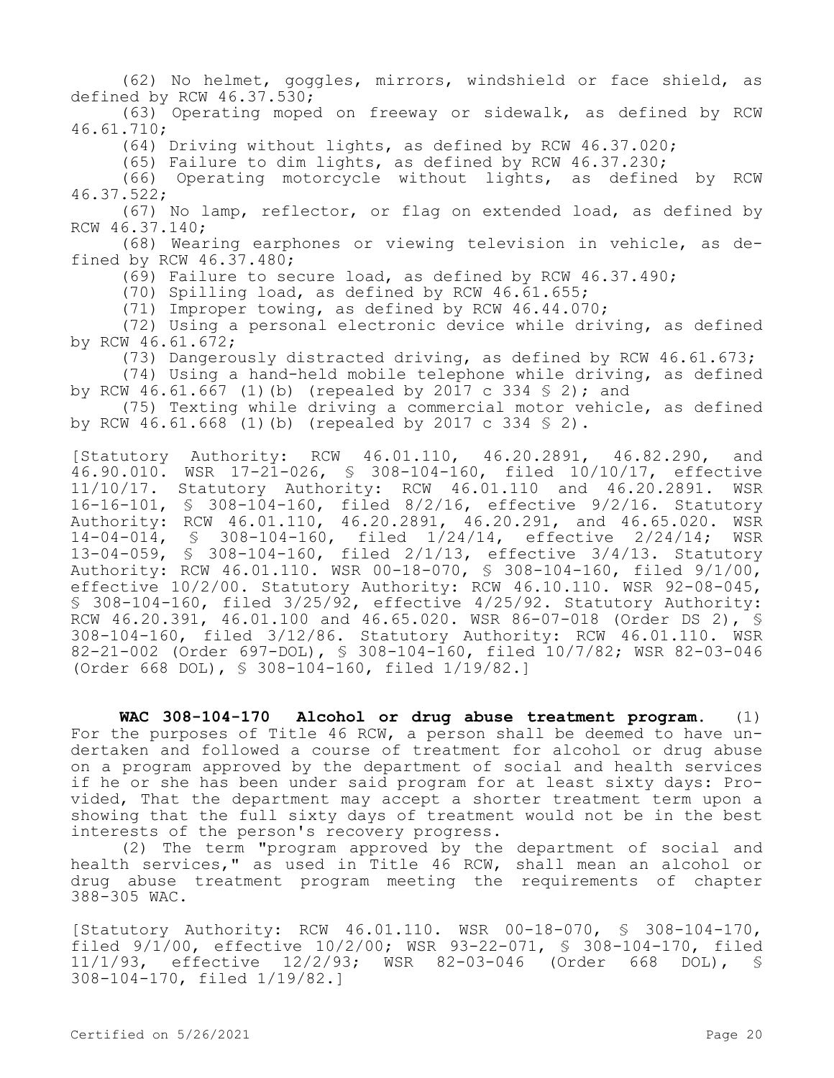(62) No helmet, goggles, mirrors, windshield or face shield, as defined by RCW 46.37.530;

(63) Operating moped on freeway or sidewalk, as defined by RCW 46.61.710;

(64) Driving without lights, as defined by RCW 46.37.020;

(65) Failure to dim lights, as defined by RCW 46.37.230;

(66) Operating motorcycle without lights, as defined by RCW 46.37.522;

(67) No lamp, reflector, or flag on extended load, as defined by RCW 46.37.140;

(68) Wearing earphones or viewing television in vehicle, as defined by RCW 46.37.480;

(69) Failure to secure load, as defined by RCW 46.37.490;

(70) Spilling load, as defined by RCW 46.61.655;

(71) Improper towing, as defined by RCW 46.44.070;

(72) Using a personal electronic device while driving, as defined by RCW 46.61.672;

(73) Dangerously distracted driving, as defined by RCW 46.61.673;

(74) Using a hand-held mobile telephone while driving, as defined by RCW 46.61.667 (1)(b) (repealed by 2017 c 334 § 2); and

(75) Texting while driving a commercial motor vehicle, as defined by RCW 46.61.668 (1)(b) (repealed by 2017 c 334 § 2).

[Statutory Authority: RCW 46.01.110, 46.20.2891, 46.82.290, and 46.90.010. WSR 17-21-026, § 308-104-160, filed 10/10/17, effective 11/10/17. Statutory Authority: RCW 46.01.110 and 46.20.2891. WSR 16-16-101, § 308-104-160, filed 8/2/16, effective 9/2/16. Statutory Authority: RCW 46.01.110, 46.20.2891, 46.20.291, and 46.65.020. WSR 14-04-014, § 308-104-160, filed 1/24/14, effective 2/24/14; WSR 13-04-059, § 308-104-160, filed 2/1/13, effective 3/4/13. Statutory Authority: RCW 46.01.110. WSR 00-18-070, § 308-104-160, filed 9/1/00, effective 10/2/00. Statutory Authority: RCW 46.10.110. WSR 92-08-045, § 308-104-160, filed 3/25/92, effective 4/25/92. Statutory Authority: RCW 46.20.391, 46.01.100 and 46.65.020. WSR 86-07-018 (Order DS 2), § 308-104-160, filed 3/12/86. Statutory Authority: RCW 46.01.110. WSR 82-21-002 (Order 697-DOL), § 308-104-160, filed 10/7/82; WSR 82-03-046 (Order 668 DOL), § 308-104-160, filed 1/19/82.]

**WAC 308-104-170 Alcohol or drug abuse treatment program.** (1) For the purposes of Title 46 RCW, a person shall be deemed to have undertaken and followed a course of treatment for alcohol or drug abuse on a program approved by the department of social and health services if he or she has been under said program for at least sixty days: Provided, That the department may accept a shorter treatment term upon a showing that the full sixty days of treatment would not be in the best interests of the person's recovery progress.

(2) The term "program approved by the department of social and health services," as used in Title 46 RCW, shall mean an alcohol or drug abuse treatment program meeting the requirements of chapter 388-305 WAC.

[Statutory Authority: RCW 46.01.110. WSR 00-18-070, § 308-104-170, filed 9/1/00, effective 10/2/00; WSR 93-22-071, § 308-104-170, filed 11/1/93, effective 12/2/93; WSR 82-03-046 (Order 668 DOL), § 308-104-170, filed 1/19/82.]